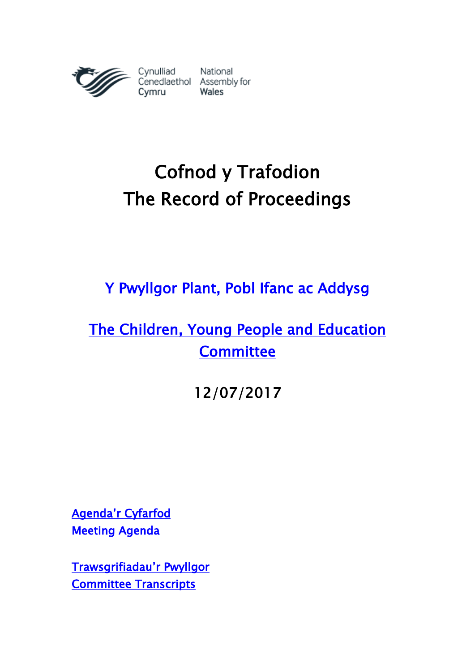

# Cofnod y Trafodion The Record of Proceedings

[Y Pwyllgor Plant, Pobl Ifanc ac Addysg](http://www.senedd.cynulliad.cymru/mgCommitteeDetails.aspx?ID=443) 

# [The Children, Young People and Education](http://www.senedd.assembly.wales/mgCommitteeDetails.aspx?ID=443)  **Committee**

12/07/2017

Agenda['r Cyfarfod](http://www.senedd.cynulliad.cymru/ieListDocuments.aspx?CId=443&MId=4170&Ver=4) [Meeting Agenda](http://senedd.assembly.wales/ieListDocuments.aspx?CId=443&MId=4170&Ver=4) 

[Trawsgrifiadau'r Pwyllgor](http://www.senedd.cynulliad.cymru/mgIssueHistoryHome.aspx?IId=15155) [Committee Transcripts](http://www.senedd.assembly.wales/mgIssueHistoryHome.aspx?IId=15155)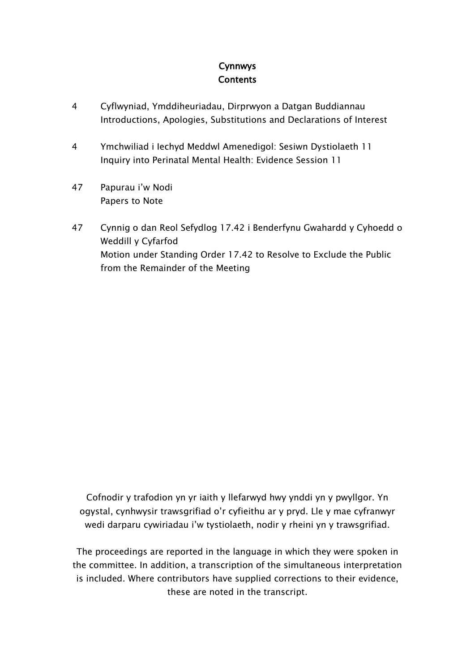# Cynnwys **Contents**

- 4 [Cyflwyniad, Ymddiheuriadau, Dirprwyon a Datgan Buddiannau](#page-3-0) [Introductions, Apologies, Substitutions and Declarations of Interest](#page-3-0)
- 4 [Ymchwiliad i Iechyd Meddwl Amenedigol: Sesiwn Dystiolaeth 11](#page-3-1) [Inquiry into Perinatal Mental Health: Evidence Session 11](#page-3-1)
- 47 [Papurau i](#page-46-0)'w Nodi [Papers to Note](#page-46-0)
- 47 [Cynnig o dan Reol Sefydlog 17.42 i Benderfynu Gwahardd y Cyhoedd o](#page-46-1)  [Weddill y Cyfarfod](#page-46-1) [Motion under Standing Order 17.42 to Resolve to Exclude the Public](#page-46-1)  [from the Remainder of the Meeting](#page-46-1)

Cofnodir y trafodion yn yr iaith y llefarwyd hwy ynddi yn y pwyllgor. Yn ogystal, cynhwysir trawsgrifiad o'r cyfieithu ar y pryd. Lle y mae cyfranwyr wedi darparu cywiriadau i'w tystiolaeth, nodir y rheini yn y trawsgrifiad.

The proceedings are reported in the language in which they were spoken in the committee. In addition, a transcription of the simultaneous interpretation is included. Where contributors have supplied corrections to their evidence, these are noted in the transcript.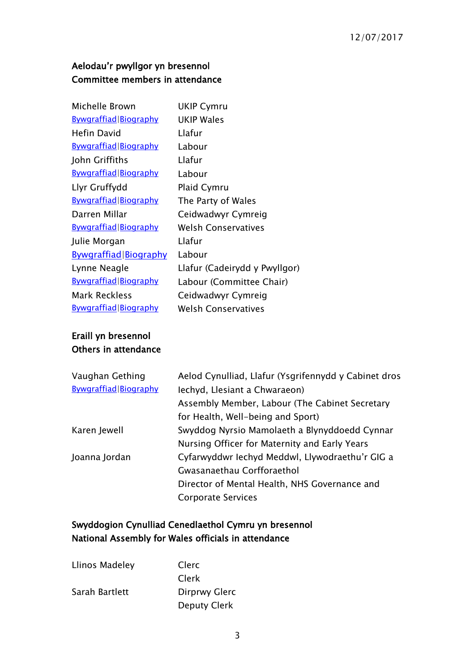# Aelodau'r pwyllgor yn bresennol Committee members in attendance

| <b>UKIP Wales</b><br>Llafur<br>Labour |
|---------------------------------------|
|                                       |
|                                       |
|                                       |
| Llafur                                |
| Labour                                |
| <b>Plaid Cymru</b>                    |
| The Party of Wales                    |
| Ceidwadwyr Cymreig                    |
| <b>Welsh Conservatives</b>            |
| Llafur                                |
| Labour                                |
| Llafur (Cadeirydd y Pwyllgor)         |
| Labour (Committee Chair)              |
| Ceidwadwyr Cymreig                    |
| <b>Welsh Conservatives</b>            |
|                                       |

# Eraill yn bresennol Others in attendance

| Aelod Cynulliad, Llafur (Ysgrifennydd y Cabinet dros |
|------------------------------------------------------|
| lechyd, Llesiant a Chwaraeon)                        |
| Assembly Member, Labour (The Cabinet Secretary       |
| for Health, Well-being and Sport)                    |
| Swyddog Nyrsio Mamolaeth a Blynyddoedd Cynnar        |
| Nursing Officer for Maternity and Early Years        |
| Cyfarwyddwr Iechyd Meddwl, Llywodraethu'r GIG a      |
| Gwasanaethau Corfforaethol                           |
| Director of Mental Health, NHS Governance and        |
| <b>Corporate Services</b>                            |
|                                                      |

# Swyddogion Cynulliad Cenedlaethol Cymru yn bresennol National Assembly for Wales officials in attendance

| Llinos Madeley | Clerc         |
|----------------|---------------|
|                | Clerk         |
| Sarah Bartlett | Dirprwy Glerc |
|                | Deputy Clerk  |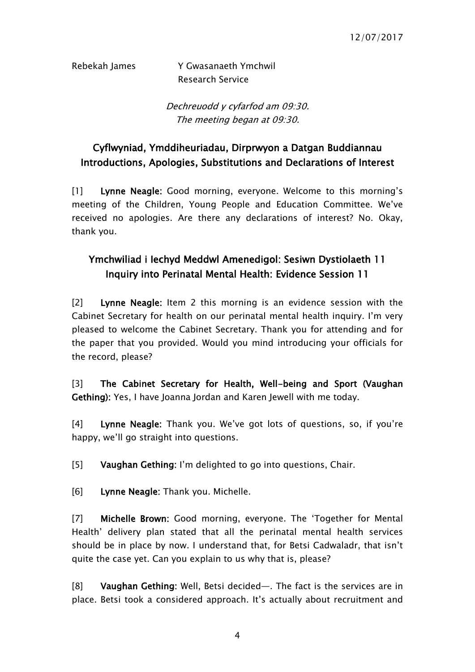Rebekah James Y Gwasanaeth Ymchwil Research Service

> Dechreuodd y cyfarfod am 09:30. The meeting began at 09:30.

# <span id="page-3-0"></span>Cyflwyniad, Ymddiheuriadau, Dirprwyon a Datgan Buddiannau Introductions, Apologies, Substitutions and Declarations of Interest

[1] Lynne Neagle: Good morning, everyone. Welcome to this morning's meeting of the Children, Young People and Education Committee. We've received no apologies. Are there any declarations of interest? No. Okay, thank you.

# <span id="page-3-1"></span>Ymchwiliad i Iechyd Meddwl Amenedigol: Sesiwn Dystiolaeth 11 Inquiry into Perinatal Mental Health: Evidence Session 11

[2] Lynne Neagle: Item 2 this morning is an evidence session with the Cabinet Secretary for health on our perinatal mental health inquiry. I'm very pleased to welcome the Cabinet Secretary. Thank you for attending and for the paper that you provided. Would you mind introducing your officials for the record, please?

[3] The Cabinet Secretary for Health, Well-being and Sport (Vaughan Gething): Yes, I have Joanna Jordan and Karen Jewell with me today.

[4] Lynne Neagle: Thank you. We've got lots of questions, so, if you're happy, we'll go straight into questions.

[5] Vaughan Gething: I'm delighted to go into questions, Chair.

[6] Lynne Neagle: Thank you. Michelle.

[7] Michelle Brown: Good morning, everyone. The 'Together for Mental Health' delivery plan stated that all the perinatal mental health services should be in place by now. I understand that, for Betsi Cadwaladr, that isn't quite the case yet. Can you explain to us why that is, please?

[8] Vaughan Gething: Well, Betsi decided—. The fact is the services are in place. Betsi took a considered approach. It's actually about recruitment and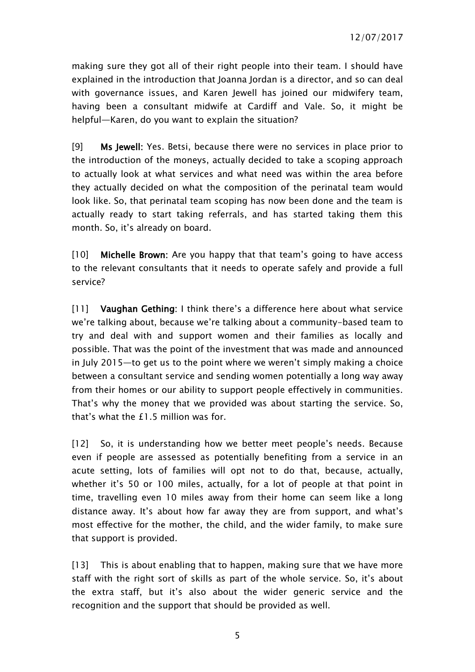making sure they got all of their right people into their team. I should have explained in the introduction that Joanna Jordan is a director, and so can deal with governance issues, and Karen Jewell has joined our midwifery team, having been a consultant midwife at Cardiff and Vale. So, it might be helpful—Karen, do you want to explain the situation?

[9] Ms Jewell: Yes. Betsi, because there were no services in place prior to the introduction of the moneys, actually decided to take a scoping approach to actually look at what services and what need was within the area before they actually decided on what the composition of the perinatal team would look like. So, that perinatal team scoping has now been done and the team is actually ready to start taking referrals, and has started taking them this month. So, it's already on board.

[10] Michelle Brown: Are you happy that that team's going to have access to the relevant consultants that it needs to operate safely and provide a full service?

[11] Vaughan Gething: I think there's a difference here about what service we're talking about, because we're talking about a community-based team to try and deal with and support women and their families as locally and possible. That was the point of the investment that was made and announced in July 2015—to get us to the point where we weren't simply making a choice between a consultant service and sending women potentially a long way away from their homes or our ability to support people effectively in communities. That's why the money that we provided was about starting the service. So, that's what the £1.5 million was for.

[12] So, it is understanding how we better meet people's needs. Because even if people are assessed as potentially benefiting from a service in an acute setting, lots of families will opt not to do that, because, actually, whether it's 50 or 100 miles, actually, for a lot of people at that point in time, travelling even 10 miles away from their home can seem like a long distance away. It's about how far away they are from support, and what's most effective for the mother, the child, and the wider family, to make sure that support is provided.

[13] This is about enabling that to happen, making sure that we have more staff with the right sort of skills as part of the whole service. So, it's about the extra staff, but it's also about the wider generic service and the recognition and the support that should be provided as well.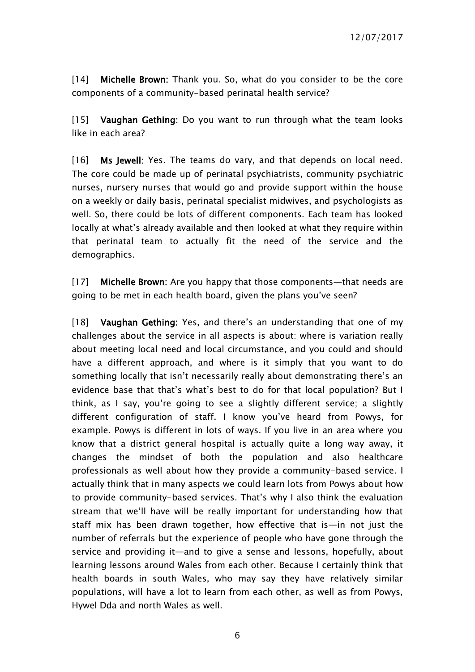[14] Michelle Brown: Thank you. So, what do you consider to be the core components of a community-based perinatal health service?

[15] Vaughan Gething: Do you want to run through what the team looks like in each area?

[16] Ms Jewell: Yes. The teams do vary, and that depends on local need. The core could be made up of perinatal psychiatrists, community psychiatric nurses, nursery nurses that would go and provide support within the house on a weekly or daily basis, perinatal specialist midwives, and psychologists as well. So, there could be lots of different components. Each team has looked locally at what's already available and then looked at what they require within that perinatal team to actually fit the need of the service and the demographics.

[17] Michelle Brown: Are you happy that those components—that needs are going to be met in each health board, given the plans you've seen?

[18] Vaughan Gething: Yes, and there's an understanding that one of my challenges about the service in all aspects is about: where is variation really about meeting local need and local circumstance, and you could and should have a different approach, and where is it simply that you want to do something locally that isn't necessarily really about demonstrating there's an evidence base that that's what's best to do for that local population? But I think, as I say, you're going to see a slightly different service; a slightly different configuration of staff. I know you've heard from Powys, for example. Powys is different in lots of ways. If you live in an area where you know that a district general hospital is actually quite a long way away, it changes the mindset of both the population and also healthcare professionals as well about how they provide a community-based service. I actually think that in many aspects we could learn lots from Powys about how to provide community-based services. That's why I also think the evaluation stream that we'll have will be really important for understanding how that staff mix has been drawn together, how effective that is—in not just the number of referrals but the experience of people who have gone through the service and providing it—and to give a sense and lessons, hopefully, about learning lessons around Wales from each other. Because I certainly think that health boards in south Wales, who may say they have relatively similar populations, will have a lot to learn from each other, as well as from Powys, Hywel Dda and north Wales as well.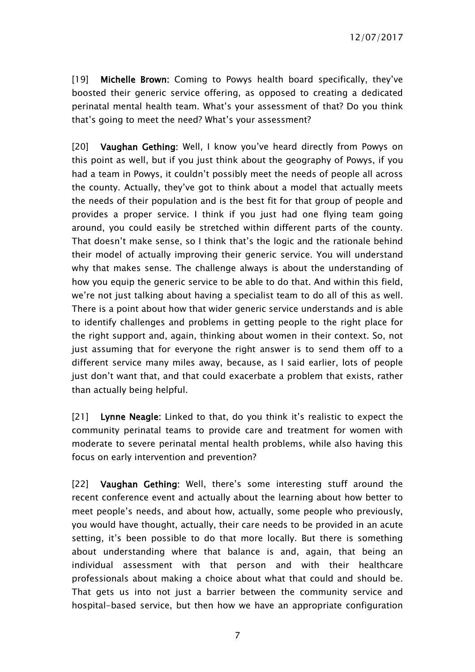[19] Michelle Brown: Coming to Powys health board specifically, they've boosted their generic service offering, as opposed to creating a dedicated perinatal mental health team. What's your assessment of that? Do you think that's going to meet the need? What's your assessment?

[20] Vaughan Gething: Well, I know you've heard directly from Powys on this point as well, but if you just think about the geography of Powys, if you had a team in Powys, it couldn't possibly meet the needs of people all across the county. Actually, they've got to think about a model that actually meets the needs of their population and is the best fit for that group of people and provides a proper service. I think if you just had one flying team going around, you could easily be stretched within different parts of the county. That doesn't make sense, so I think that's the logic and the rationale behind their model of actually improving their generic service. You will understand why that makes sense. The challenge always is about the understanding of how you equip the generic service to be able to do that. And within this field, we're not just talking about having a specialist team to do all of this as well. There is a point about how that wider generic service understands and is able to identify challenges and problems in getting people to the right place for the right support and, again, thinking about women in their context. So, not just assuming that for everyone the right answer is to send them off to a different service many miles away, because, as I said earlier, lots of people just don't want that, and that could exacerbate a problem that exists, rather than actually being helpful.

[21] Lynne Neagle: Linked to that, do you think it's realistic to expect the community perinatal teams to provide care and treatment for women with moderate to severe perinatal mental health problems, while also having this focus on early intervention and prevention?

[22] Vaughan Gething: Well, there's some interesting stuff around the recent conference event and actually about the learning about how better to meet people's needs, and about how, actually, some people who previously, you would have thought, actually, their care needs to be provided in an acute setting, it's been possible to do that more locally. But there is something about understanding where that balance is and, again, that being an individual assessment with that person and with their healthcare professionals about making a choice about what that could and should be. That gets us into not just a barrier between the community service and hospital-based service, but then how we have an appropriate configuration

7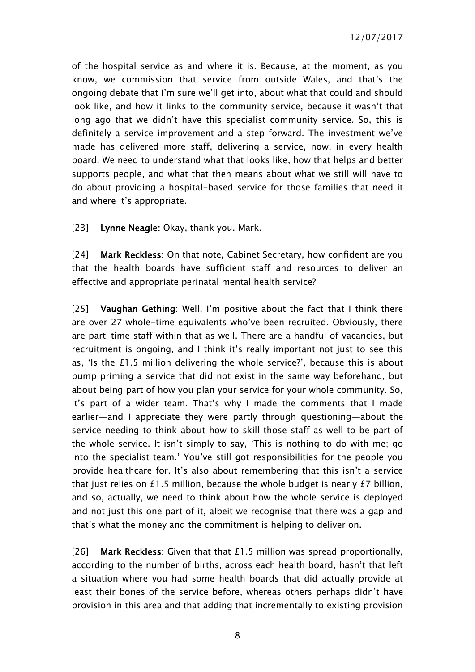of the hospital service as and where it is. Because, at the moment, as you know, we commission that service from outside Wales, and that's the ongoing debate that I'm sure we'll get into, about what that could and should look like, and how it links to the community service, because it wasn't that long ago that we didn't have this specialist community service. So, this is definitely a service improvement and a step forward. The investment we've made has delivered more staff, delivering a service, now, in every health board. We need to understand what that looks like, how that helps and better supports people, and what that then means about what we still will have to do about providing a hospital-based service for those families that need it and where it's appropriate.

[23] Lynne Neagle: Okay, thank you. Mark.

[24] Mark Reckless: On that note, Cabinet Secretary, how confident are you that the health boards have sufficient staff and resources to deliver an effective and appropriate perinatal mental health service?

[25] Vaughan Gething: Well, I'm positive about the fact that I think there are over 27 whole-time equivalents who've been recruited. Obviously, there are part-time staff within that as well. There are a handful of vacancies, but recruitment is ongoing, and I think it's really important not just to see this as, 'Is the £1.5 million delivering the whole service?', because this is about pump priming a service that did not exist in the same way beforehand, but about being part of how you plan your service for your whole community. So, it's part of a wider team. That's why I made the comments that I made earlier—and I appreciate they were partly through questioning—about the service needing to think about how to skill those staff as well to be part of the whole service. It isn't simply to say, 'This is nothing to do with me; go into the specialist team.' You've still got responsibilities for the people you provide healthcare for. It's also about remembering that this isn't a service that just relies on £1.5 million, because the whole budget is nearly £7 billion, and so, actually, we need to think about how the whole service is deployed and not just this one part of it, albeit we recognise that there was a gap and that's what the money and the commitment is helping to deliver on.

[26] Mark Reckless: Given that that £1.5 million was spread proportionally, according to the number of births, across each health board, hasn't that left a situation where you had some health boards that did actually provide at least their bones of the service before, whereas others perhaps didn't have provision in this area and that adding that incrementally to existing provision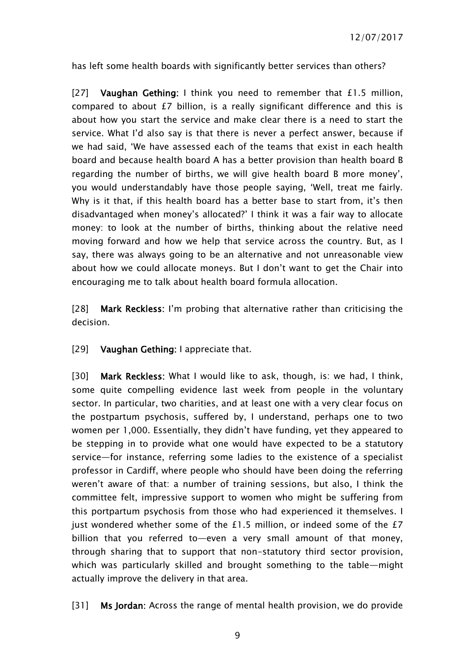has left some health boards with significantly better services than others?

[27] Vaughan Gething: I think you need to remember that £1.5 million, compared to about £7 billion, is a really significant difference and this is about how you start the service and make clear there is a need to start the service. What I'd also say is that there is never a perfect answer, because if we had said, 'We have assessed each of the teams that exist in each health board and because health board A has a better provision than health board B regarding the number of births, we will give health board B more money', you would understandably have those people saying, 'Well, treat me fairly. Why is it that, if this health board has a better base to start from, it's then disadvantaged when money's allocated?' I think it was a fair way to allocate money: to look at the number of births, thinking about the relative need moving forward and how we help that service across the country. But, as I say, there was always going to be an alternative and not unreasonable view about how we could allocate moneys. But I don't want to get the Chair into encouraging me to talk about health board formula allocation.

[28] Mark Reckless: I'm probing that alternative rather than criticising the decision.

#### [29] **Vaughan Gething:** I appreciate that.

[30] Mark Reckless: What I would like to ask, though, is: we had, I think, some quite compelling evidence last week from people in the voluntary sector. In particular, two charities, and at least one with a very clear focus on the postpartum psychosis, suffered by, I understand, perhaps one to two women per 1,000. Essentially, they didn't have funding, yet they appeared to be stepping in to provide what one would have expected to be a statutory service—for instance, referring some ladies to the existence of a specialist professor in Cardiff, where people who should have been doing the referring weren't aware of that: a number of training sessions, but also, I think the committee felt, impressive support to women who might be suffering from this portpartum psychosis from those who had experienced it themselves. I just wondered whether some of the £1.5 million, or indeed some of the £7 billion that you referred to—even a very small amount of that money, through sharing that to support that non-statutory third sector provision, which was particularly skilled and brought something to the table—might actually improve the delivery in that area.

[31] Ms Jordan: Across the range of mental health provision, we do provide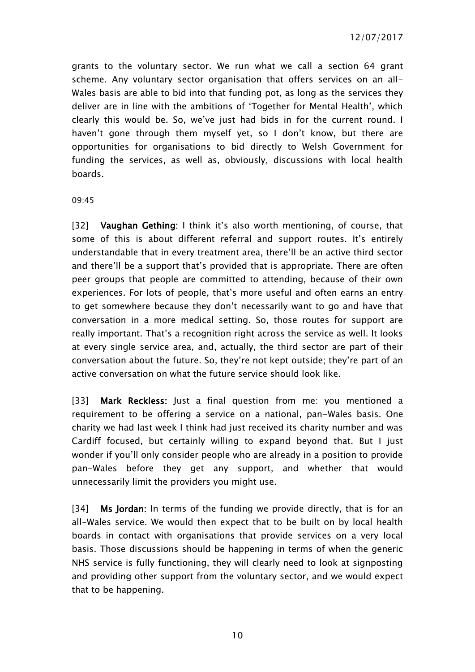grants to the voluntary sector. We run what we call a section 64 grant scheme. Any voluntary sector organisation that offers services on an all-Wales basis are able to bid into that funding pot, as long as the services they deliver are in line with the ambitions of 'Together for Mental Health', which clearly this would be. So, we've just had bids in for the current round. I haven't gone through them myself yet, so I don't know, but there are opportunities for organisations to bid directly to Welsh Government for funding the services, as well as, obviously, discussions with local health boards.

09:45

[32] **Vaughan Gething:** I think it's also worth mentioning, of course, that some of this is about different referral and support routes. It's entirely understandable that in every treatment area, there'll be an active third sector and there'll be a support that's provided that is appropriate. There are often peer groups that people are committed to attending, because of their own experiences. For lots of people, that's more useful and often earns an entry to get somewhere because they don't necessarily want to go and have that conversation in a more medical setting. So, those routes for support are really important. That's a recognition right across the service as well. It looks at every single service area, and, actually, the third sector are part of their conversation about the future. So, they're not kept outside; they're part of an active conversation on what the future service should look like.

[33] Mark Reckless: Just a final question from me: you mentioned a requirement to be offering a service on a national, pan-Wales basis. One charity we had last week I think had just received its charity number and was Cardiff focused, but certainly willing to expand beyond that. But I just wonder if you'll only consider people who are already in a position to provide pan-Wales before they get any support, and whether that would unnecessarily limit the providers you might use.

[34] Ms Jordan: In terms of the funding we provide directly, that is for an all-Wales service. We would then expect that to be built on by local health boards in contact with organisations that provide services on a very local basis. Those discussions should be happening in terms of when the generic NHS service is fully functioning, they will clearly need to look at signposting and providing other support from the voluntary sector, and we would expect that to be happening.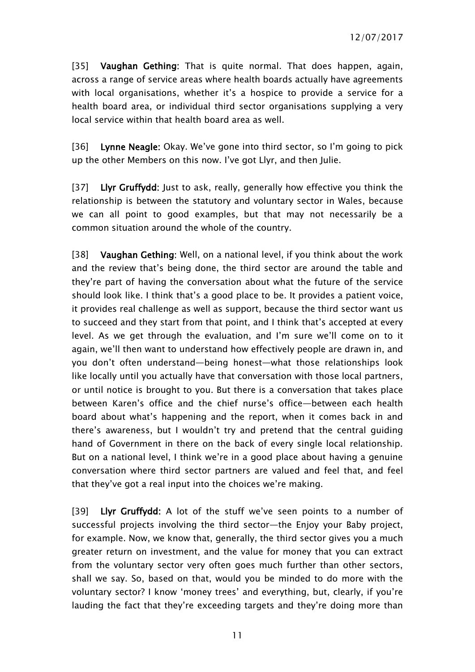[35] Vaughan Gething: That is quite normal. That does happen, again, across a range of service areas where health boards actually have agreements with local organisations, whether it's a hospice to provide a service for a health board area, or individual third sector organisations supplying a very local service within that health board area as well.

[36] Lynne Neagle: Okay. We've gone into third sector, so I'm going to pick up the other Members on this now. I've got Llyr, and then Julie.

[37] Llyr Gruffydd: Just to ask, really, generally how effective you think the relationship is between the statutory and voluntary sector in Wales, because we can all point to good examples, but that may not necessarily be a common situation around the whole of the country.

[38] Vaughan Gething: Well, on a national level, if you think about the work and the review that's being done, the third sector are around the table and they're part of having the conversation about what the future of the service should look like. I think that's a good place to be. It provides a patient voice, it provides real challenge as well as support, because the third sector want us to succeed and they start from that point, and I think that's accepted at every level. As we get through the evaluation, and I'm sure we'll come on to it again, we'll then want to understand how effectively people are drawn in, and you don't often understand—being honest—what those relationships look like locally until you actually have that conversation with those local partners, or until notice is brought to you. But there is a conversation that takes place between Karen's office and the chief nurse's office—between each health board about what's happening and the report, when it comes back in and there's awareness, but I wouldn't try and pretend that the central guiding hand of Government in there on the back of every single local relationship. But on a national level, I think we're in a good place about having a genuine conversation where third sector partners are valued and feel that, and feel that they've got a real input into the choices we're making.

[39] Llyr Gruffydd: A lot of the stuff we've seen points to a number of successful projects involving the third sector—the Enjoy your Baby project, for example. Now, we know that, generally, the third sector gives you a much greater return on investment, and the value for money that you can extract from the voluntary sector very often goes much further than other sectors, shall we say. So, based on that, would you be minded to do more with the voluntary sector? I know 'money trees' and everything, but, clearly, if you're lauding the fact that they're exceeding targets and they're doing more than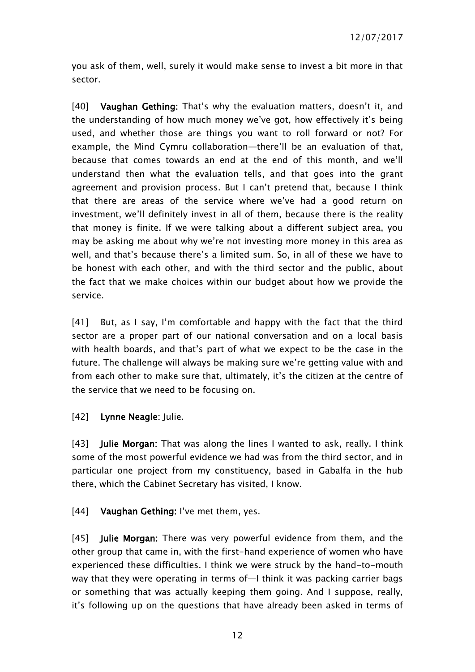you ask of them, well, surely it would make sense to invest a bit more in that sector.

[40] Vaughan Gething: That's why the evaluation matters, doesn't it, and the understanding of how much money we've got, how effectively it's being used, and whether those are things you want to roll forward or not? For example, the Mind Cymru collaboration—there'll be an evaluation of that, because that comes towards an end at the end of this month, and we'll understand then what the evaluation tells, and that goes into the grant agreement and provision process. But I can't pretend that, because I think that there are areas of the service where we've had a good return on investment, we'll definitely invest in all of them, because there is the reality that money is finite. If we were talking about a different subject area, you may be asking me about why we're not investing more money in this area as well, and that's because there's a limited sum. So, in all of these we have to be honest with each other, and with the third sector and the public, about the fact that we make choices within our budget about how we provide the service.

[41] But, as I say, I'm comfortable and happy with the fact that the third sector are a proper part of our national conversation and on a local basis with health boards, and that's part of what we expect to be the case in the future. The challenge will always be making sure we're getting value with and from each other to make sure that, ultimately, it's the citizen at the centre of the service that we need to be focusing on.

#### [42] Lynne Neagle: Julie.

[43] Julie Morgan: That was along the lines I wanted to ask, really. I think some of the most powerful evidence we had was from the third sector, and in particular one project from my constituency, based in Gabalfa in the hub there, which the Cabinet Secretary has visited, I know.

#### [44] Vaughan Gething: I've met them, yes.

[45] **Julie Morgan:** There was very powerful evidence from them, and the other group that came in, with the first-hand experience of women who have experienced these difficulties. I think we were struck by the hand-to-mouth way that they were operating in terms of—I think it was packing carrier bags or something that was actually keeping them going. And I suppose, really, it's following up on the questions that have already been asked in terms of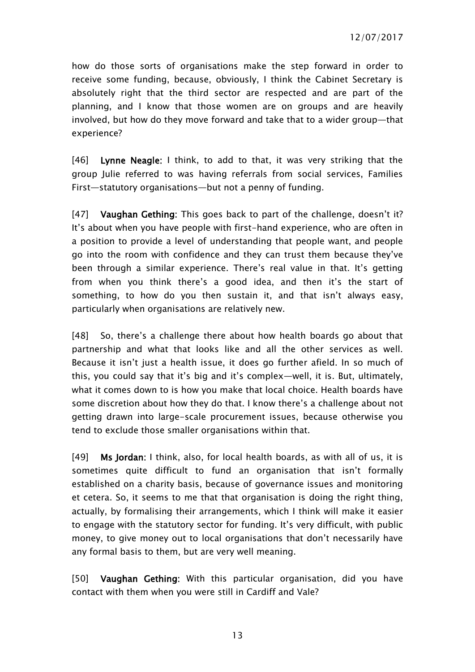how do those sorts of organisations make the step forward in order to receive some funding, because, obviously, I think the Cabinet Secretary is absolutely right that the third sector are respected and are part of the planning, and I know that those women are on groups and are heavily involved, but how do they move forward and take that to a wider group—that experience?

[46] Lynne Neagle: I think, to add to that, it was very striking that the group Julie referred to was having referrals from social services, Families First—statutory organisations—but not a penny of funding.

[47] Vaughan Gething: This goes back to part of the challenge, doesn't it? It's about when you have people with first-hand experience, who are often in a position to provide a level of understanding that people want, and people go into the room with confidence and they can trust them because they've been through a similar experience. There's real value in that. It's getting from when you think there's a good idea, and then it's the start of something, to how do you then sustain it, and that isn't always easy, particularly when organisations are relatively new.

[48] So, there's a challenge there about how health boards go about that partnership and what that looks like and all the other services as well. Because it isn't just a health issue, it does go further afield. In so much of this, you could say that it's big and it's complex—well, it is. But, ultimately, what it comes down to is how you make that local choice. Health boards have some discretion about how they do that. I know there's a challenge about not getting drawn into large-scale procurement issues, because otherwise you tend to exclude those smaller organisations within that.

[49] Ms Jordan: I think, also, for local health boards, as with all of us, it is sometimes quite difficult to fund an organisation that isn't formally established on a charity basis, because of governance issues and monitoring et cetera. So, it seems to me that that organisation is doing the right thing, actually, by formalising their arrangements, which I think will make it easier to engage with the statutory sector for funding. It's very difficult, with public money, to give money out to local organisations that don't necessarily have any formal basis to them, but are very well meaning.

[50] Vaughan Gething: With this particular organisation, did you have contact with them when you were still in Cardiff and Vale?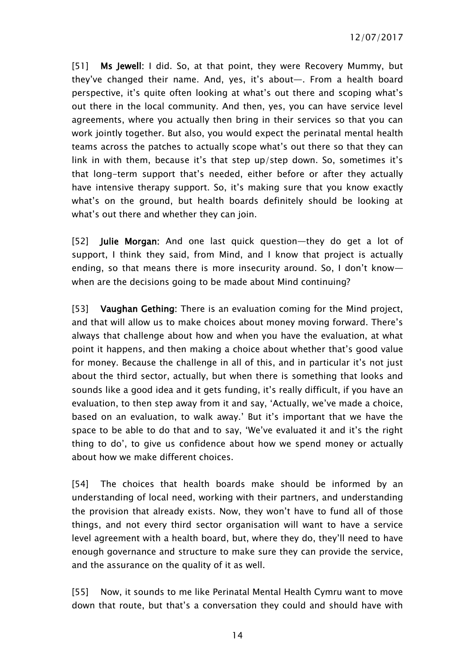[51] Ms Jewell: I did. So, at that point, they were Recovery Mummy, but they've changed their name. And, yes, it's about—. From a health board perspective, it's quite often looking at what's out there and scoping what's out there in the local community. And then, yes, you can have service level agreements, where you actually then bring in their services so that you can work jointly together. But also, you would expect the perinatal mental health teams across the patches to actually scope what's out there so that they can link in with them, because it's that step up/step down. So, sometimes it's that long-term support that's needed, either before or after they actually have intensive therapy support. So, it's making sure that you know exactly what's on the ground, but health boards definitely should be looking at what's out there and whether they can join.

[52] Julie Morgan: And one last quick question—they do get a lot of support, I think they said, from Mind, and I know that project is actually ending, so that means there is more insecurity around. So, I don't know when are the decisions going to be made about Mind continuing?

[53] Vaughan Gething: There is an evaluation coming for the Mind project, and that will allow us to make choices about money moving forward. There's always that challenge about how and when you have the evaluation, at what point it happens, and then making a choice about whether that's good value for money. Because the challenge in all of this, and in particular it's not just about the third sector, actually, but when there is something that looks and sounds like a good idea and it gets funding, it's really difficult, if you have an evaluation, to then step away from it and say, 'Actually, we've made a choice, based on an evaluation, to walk away.' But it's important that we have the space to be able to do that and to say, 'We've evaluated it and it's the right thing to do', to give us confidence about how we spend money or actually about how we make different choices.

[54] The choices that health boards make should be informed by an understanding of local need, working with their partners, and understanding the provision that already exists. Now, they won't have to fund all of those things, and not every third sector organisation will want to have a service level agreement with a health board, but, where they do, they'll need to have enough governance and structure to make sure they can provide the service, and the assurance on the quality of it as well.

[55] Now, it sounds to me like Perinatal Mental Health Cymru want to move down that route, but that's a conversation they could and should have with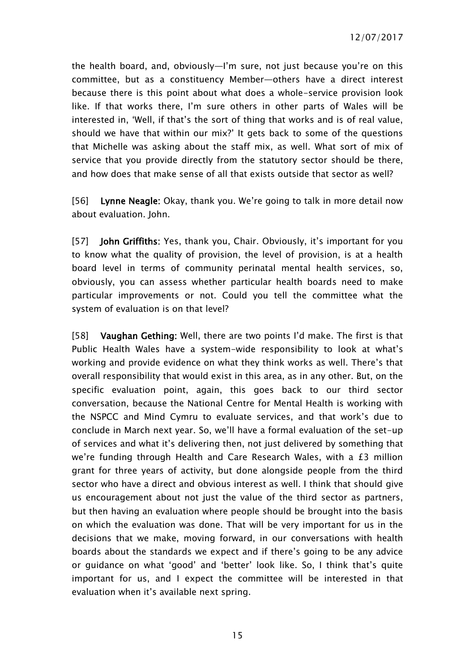the health board, and, obviously—I'm sure, not just because you're on this committee, but as a constituency Member—others have a direct interest because there is this point about what does a whole-service provision look like. If that works there, I'm sure others in other parts of Wales will be interested in, 'Well, if that's the sort of thing that works and is of real value, should we have that within our mix?' It gets back to some of the questions that Michelle was asking about the staff mix, as well. What sort of mix of service that you provide directly from the statutory sector should be there, and how does that make sense of all that exists outside that sector as well?

[56] Lynne Neagle: Okay, thank you. We're going to talk in more detail now about evaluation. John.

[57] **John Griffiths:** Yes, thank you, Chair. Obviously, it's important for you to know what the quality of provision, the level of provision, is at a health board level in terms of community perinatal mental health services, so, obviously, you can assess whether particular health boards need to make particular improvements or not. Could you tell the committee what the system of evaluation is on that level?

[58] Vaughan Gething: Well, there are two points I'd make. The first is that Public Health Wales have a system-wide responsibility to look at what's working and provide evidence on what they think works as well. There's that overall responsibility that would exist in this area, as in any other. But, on the specific evaluation point, again, this goes back to our third sector conversation, because the National Centre for Mental Health is working with the NSPCC and Mind Cymru to evaluate services, and that work's due to conclude in March next year. So, we'll have a formal evaluation of the set-up of services and what it's delivering then, not just delivered by something that we're funding through Health and Care Research Wales, with a £3 million grant for three years of activity, but done alongside people from the third sector who have a direct and obvious interest as well. I think that should give us encouragement about not just the value of the third sector as partners, but then having an evaluation where people should be brought into the basis on which the evaluation was done. That will be very important for us in the decisions that we make, moving forward, in our conversations with health boards about the standards we expect and if there's going to be any advice or guidance on what 'good' and 'better' look like. So, I think that's quite important for us, and I expect the committee will be interested in that evaluation when it's available next spring.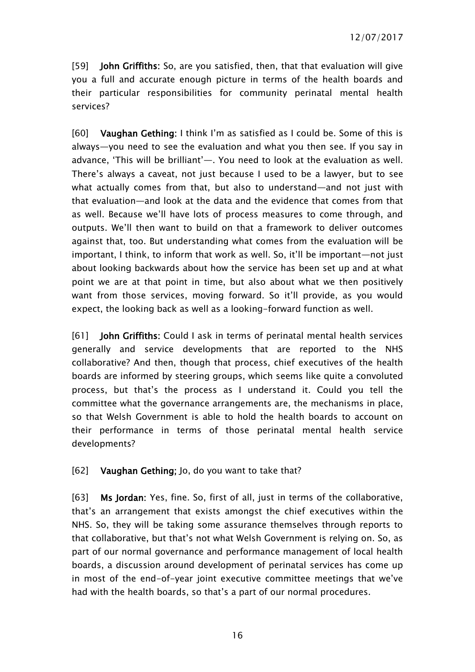[59] **John Griffiths:** So, are you satisfied, then, that that evaluation will give you a full and accurate enough picture in terms of the health boards and their particular responsibilities for community perinatal mental health services?

[60] Vaughan Gething: I think I'm as satisfied as I could be. Some of this is always—you need to see the evaluation and what you then see. If you say in advance, 'This will be brilliant'—. You need to look at the evaluation as well. There's always a caveat, not just because I used to be a lawyer, but to see what actually comes from that, but also to understand—and not just with that evaluation—and look at the data and the evidence that comes from that as well. Because we'll have lots of process measures to come through, and outputs. We'll then want to build on that a framework to deliver outcomes against that, too. But understanding what comes from the evaluation will be important, I think, to inform that work as well. So, it'll be important—not just about looking backwards about how the service has been set up and at what point we are at that point in time, but also about what we then positively want from those services, moving forward. So it'll provide, as you would expect, the looking back as well as a looking-forward function as well.

[61] John Griffiths: Could I ask in terms of perinatal mental health services generally and service developments that are reported to the NHS collaborative? And then, though that process, chief executives of the health boards are informed by steering groups, which seems like quite a convoluted process, but that's the process as I understand it. Could you tell the committee what the governance arrangements are, the mechanisms in place, so that Welsh Government is able to hold the health boards to account on their performance in terms of those perinatal mental health service developments?

#### [62] Vaughan Gething; Jo, do you want to take that?

[63] Ms Jordan: Yes, fine. So, first of all, just in terms of the collaborative, that's an arrangement that exists amongst the chief executives within the NHS. So, they will be taking some assurance themselves through reports to that collaborative, but that's not what Welsh Government is relying on. So, as part of our normal governance and performance management of local health boards, a discussion around development of perinatal services has come up in most of the end-of-year joint executive committee meetings that we've had with the health boards, so that's a part of our normal procedures.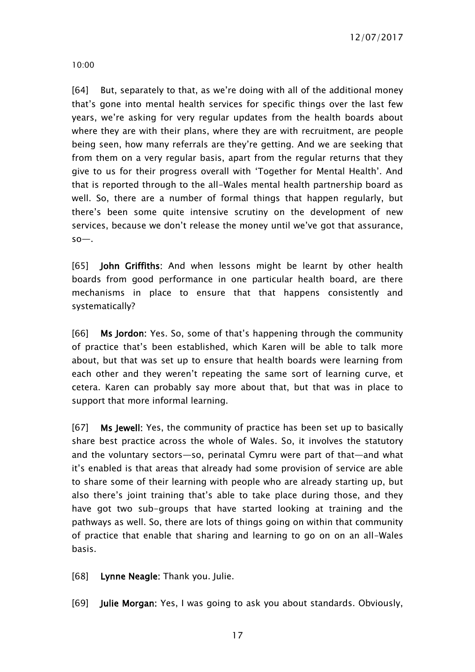10:00

[64] But, separately to that, as we're doing with all of the additional money that's gone into mental health services for specific things over the last few years, we're asking for very regular updates from the health boards about where they are with their plans, where they are with recruitment, are people being seen, how many referrals are they're getting. And we are seeking that from them on a very regular basis, apart from the regular returns that they give to us for their progress overall with 'Together for Mental Health'. And that is reported through to the all-Wales mental health partnership board as well. So, there are a number of formal things that happen regularly, but there's been some quite intensive scrutiny on the development of new services, because we don't release the money until we've got that assurance, so—.

[65] **John Griffiths:** And when lessons might be learnt by other health boards from good performance in one particular health board, are there mechanisms in place to ensure that that happens consistently and systematically?

[66] Ms Jordon: Yes. So, some of that's happening through the community of practice that's been established, which Karen will be able to talk more about, but that was set up to ensure that health boards were learning from each other and they weren't repeating the same sort of learning curve, et cetera. Karen can probably say more about that, but that was in place to support that more informal learning.

[67] Ms Jewell: Yes, the community of practice has been set up to basically share best practice across the whole of Wales. So, it involves the statutory and the voluntary sectors—so, perinatal Cymru were part of that—and what it's enabled is that areas that already had some provision of service are able to share some of their learning with people who are already starting up, but also there's joint training that's able to take place during those, and they have got two sub-groups that have started looking at training and the pathways as well. So, there are lots of things going on within that community of practice that enable that sharing and learning to go on on an all-Wales basis.

[68] Lynne Neagle: Thank you. Julie.

[69] Julie Morgan: Yes, I was going to ask you about standards. Obviously,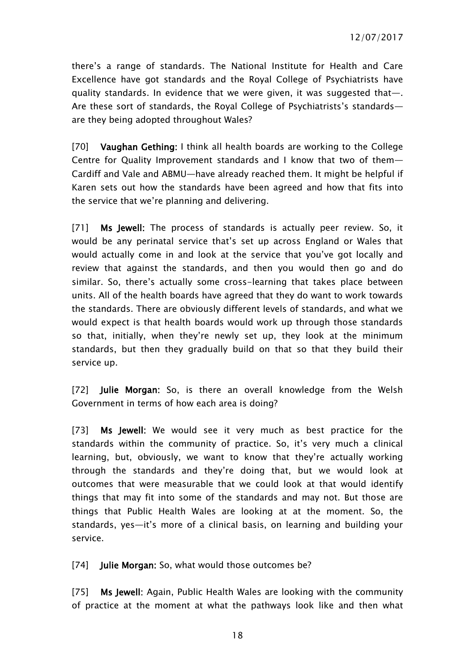there's a range of standards. The National Institute for Health and Care Excellence have got standards and the Royal College of Psychiatrists have quality standards. In evidence that we were given, it was suggested that—. Are these sort of standards, the Royal College of Psychiatrists's standards are they being adopted throughout Wales?

[70] Vaughan Gething: I think all health boards are working to the College Centre for Quality Improvement standards and I know that two of them— Cardiff and Vale and ABMU—have already reached them. It might be helpful if Karen sets out how the standards have been agreed and how that fits into the service that we're planning and delivering.

[71] **Ms Jewell:** The process of standards is actually peer review. So, it would be any perinatal service that's set up across England or Wales that would actually come in and look at the service that you've got locally and review that against the standards, and then you would then go and do similar. So, there's actually some cross-learning that takes place between units. All of the health boards have agreed that they do want to work towards the standards. There are obviously different levels of standards, and what we would expect is that health boards would work up through those standards so that, initially, when they're newly set up, they look at the minimum standards, but then they gradually build on that so that they build their service up.

[72] **Julie Morgan:** So, is there an overall knowledge from the Welsh Government in terms of how each area is doing?

[73] Ms Jewell: We would see it very much as best practice for the standards within the community of practice. So, it's very much a clinical learning, but, obviously, we want to know that they're actually working through the standards and they're doing that, but we would look at outcomes that were measurable that we could look at that would identify things that may fit into some of the standards and may not. But those are things that Public Health Wales are looking at at the moment. So, the standards, yes—it's more of a clinical basis, on learning and building your service.

[74] **Julie Morgan:** So, what would those outcomes be?

[75] Ms Jewell: Again, Public Health Wales are looking with the community of practice at the moment at what the pathways look like and then what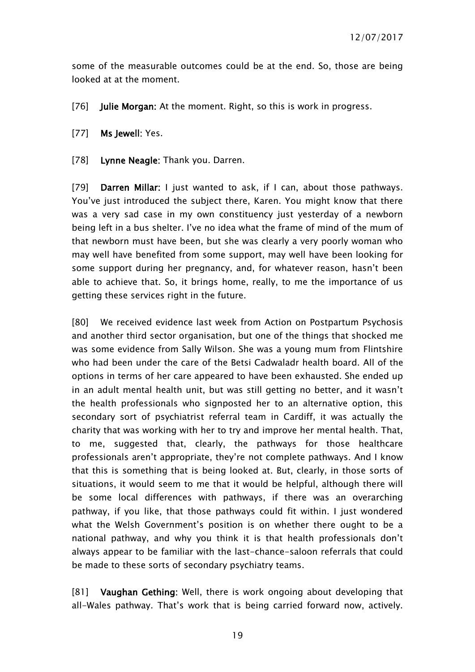some of the measurable outcomes could be at the end. So, those are being looked at at the moment.

- [76] **Julie Morgan:** At the moment. Right, so this is work in progress.
- [77] Ms Jewell: Yes.
- [78] Lynne Neagle: Thank you. Darren.

[79] **Darren Millar:** I just wanted to ask, if I can, about those pathways. You've just introduced the subject there, Karen. You might know that there was a very sad case in my own constituency just yesterday of a newborn being left in a bus shelter. I've no idea what the frame of mind of the mum of that newborn must have been, but she was clearly a very poorly woman who may well have benefited from some support, may well have been looking for some support during her pregnancy, and, for whatever reason, hasn't been able to achieve that. So, it brings home, really, to me the importance of us getting these services right in the future.

[80] We received evidence last week from Action on Postpartum Psychosis and another third sector organisation, but one of the things that shocked me was some evidence from Sally Wilson. She was a young mum from Flintshire who had been under the care of the Betsi Cadwaladr health board. All of the options in terms of her care appeared to have been exhausted. She ended up in an adult mental health unit, but was still getting no better, and it wasn't the health professionals who signposted her to an alternative option, this secondary sort of psychiatrist referral team in Cardiff, it was actually the charity that was working with her to try and improve her mental health. That, to me, suggested that, clearly, the pathways for those healthcare professionals aren't appropriate, they're not complete pathways. And I know that this is something that is being looked at. But, clearly, in those sorts of situations, it would seem to me that it would be helpful, although there will be some local differences with pathways, if there was an overarching pathway, if you like, that those pathways could fit within. I just wondered what the Welsh Government's position is on whether there ought to be a national pathway, and why you think it is that health professionals don't always appear to be familiar with the last-chance-saloon referrals that could be made to these sorts of secondary psychiatry teams.

[81] Vaughan Gething: Well, there is work ongoing about developing that all-Wales pathway. That's work that is being carried forward now, actively.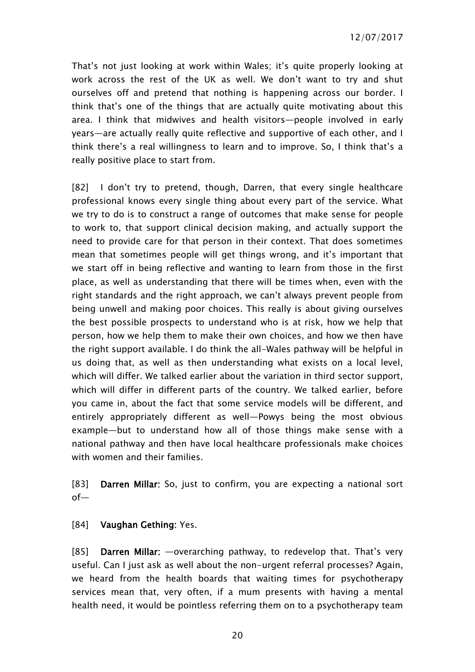That's not just looking at work within Wales; it's quite properly looking at work across the rest of the UK as well. We don't want to try and shut ourselves off and pretend that nothing is happening across our border. I think that's one of the things that are actually quite motivating about this area. I think that midwives and health visitors—people involved in early years—are actually really quite reflective and supportive of each other, and I think there's a real willingness to learn and to improve. So, I think that's a really positive place to start from.

[82] I don't try to pretend, though, Darren, that every single healthcare professional knows every single thing about every part of the service. What we try to do is to construct a range of outcomes that make sense for people to work to, that support clinical decision making, and actually support the need to provide care for that person in their context. That does sometimes mean that sometimes people will get things wrong, and it's important that we start off in being reflective and wanting to learn from those in the first place, as well as understanding that there will be times when, even with the right standards and the right approach, we can't always prevent people from being unwell and making poor choices. This really is about giving ourselves the best possible prospects to understand who is at risk, how we help that person, how we help them to make their own choices, and how we then have the right support available. I do think the all-Wales pathway will be helpful in us doing that, as well as then understanding what exists on a local level, which will differ. We talked earlier about the variation in third sector support, which will differ in different parts of the country. We talked earlier, before you came in, about the fact that some service models will be different, and entirely appropriately different as well—Powys being the most obvious example—but to understand how all of those things make sense with a national pathway and then have local healthcare professionals make choices with women and their families.

[83] Darren Millar: So, just to confirm, you are expecting a national sort of—

[84] Vaughan Gething: Yes.

[85] Darren Millar: —overarching pathway, to redevelop that. That's very useful. Can I just ask as well about the non-urgent referral processes? Again, we heard from the health boards that waiting times for psychotherapy services mean that, very often, if a mum presents with having a mental health need, it would be pointless referring them on to a psychotherapy team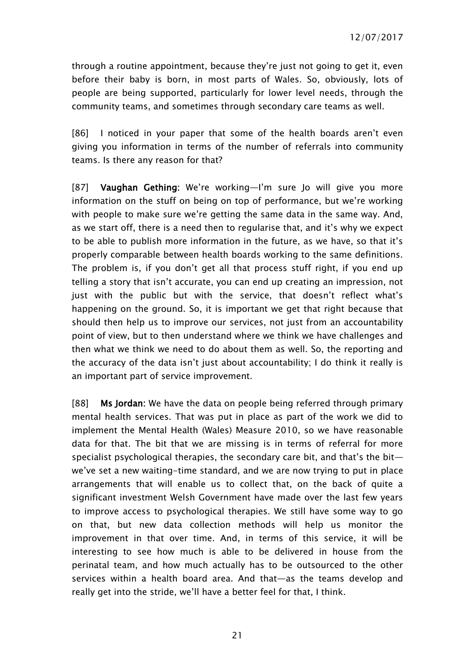through a routine appointment, because they're just not going to get it, even before their baby is born, in most parts of Wales. So, obviously, lots of people are being supported, particularly for lower level needs, through the community teams, and sometimes through secondary care teams as well.

[86] I noticed in your paper that some of the health boards aren't even giving you information in terms of the number of referrals into community teams. Is there any reason for that?

[87] Vaughan Gething: We're working—I'm sure Jo will give you more information on the stuff on being on top of performance, but we're working with people to make sure we're getting the same data in the same way. And, as we start off, there is a need then to regularise that, and it's why we expect to be able to publish more information in the future, as we have, so that it's properly comparable between health boards working to the same definitions. The problem is, if you don't get all that process stuff right, if you end up telling a story that isn't accurate, you can end up creating an impression, not just with the public but with the service, that doesn't reflect what's happening on the ground. So, it is important we get that right because that should then help us to improve our services, not just from an accountability point of view, but to then understand where we think we have challenges and then what we think we need to do about them as well. So, the reporting and the accuracy of the data isn't just about accountability; I do think it really is an important part of service improvement.

[88] Ms Jordan: We have the data on people being referred through primary mental health services. That was put in place as part of the work we did to implement the Mental Health (Wales) Measure 2010, so we have reasonable data for that. The bit that we are missing is in terms of referral for more specialist psychological therapies, the secondary care bit, and that's the bit we've set a new waiting-time standard, and we are now trying to put in place arrangements that will enable us to collect that, on the back of quite a significant investment Welsh Government have made over the last few years to improve access to psychological therapies. We still have some way to go on that, but new data collection methods will help us monitor the improvement in that over time. And, in terms of this service, it will be interesting to see how much is able to be delivered in house from the perinatal team, and how much actually has to be outsourced to the other services within a health board area. And that—as the teams develop and really get into the stride, we'll have a better feel for that, I think.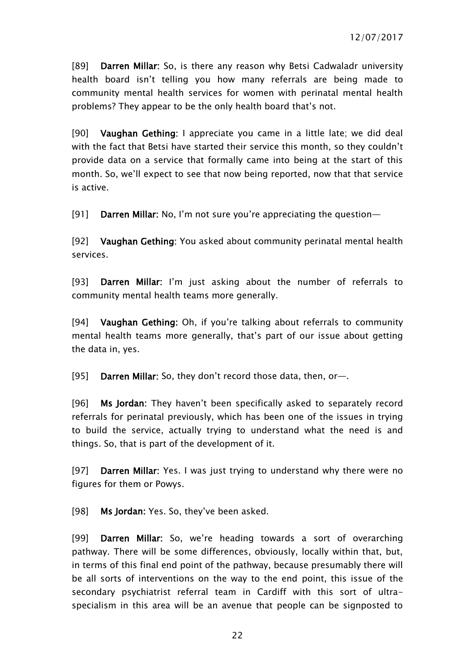[89] Darren Millar: So, is there any reason why Betsi Cadwaladr university health board isn't telling you how many referrals are being made to community mental health services for women with perinatal mental health problems? They appear to be the only health board that's not.

[90] Vaughan Gething: I appreciate you came in a little late; we did deal with the fact that Betsi have started their service this month, so they couldn't provide data on a service that formally came into being at the start of this month. So, we'll expect to see that now being reported, now that that service is active.

[91] Darren Millar: No, I'm not sure you're appreciating the question—

[92] Vaughan Gething: You asked about community perinatal mental health services.

[93] Darren Millar: I'm just asking about the number of referrals to community mental health teams more generally.

[94] Vaughan Gething: Oh, if you're talking about referrals to community mental health teams more generally, that's part of our issue about getting the data in, yes.

[95] Darren Millar: So, they don't record those data, then, or—.

[96] Ms Jordan: They haven't been specifically asked to separately record referrals for perinatal previously, which has been one of the issues in trying to build the service, actually trying to understand what the need is and things. So, that is part of the development of it.

[97] Darren Millar: Yes. I was just trying to understand why there were no figures for them or Powys.

[98] Ms Jordan: Yes. So, they've been asked.

[99] Darren Millar: So, we're heading towards a sort of overarching pathway. There will be some differences, obviously, locally within that, but, in terms of this final end point of the pathway, because presumably there will be all sorts of interventions on the way to the end point, this issue of the secondary psychiatrist referral team in Cardiff with this sort of ultraspecialism in this area will be an avenue that people can be signposted to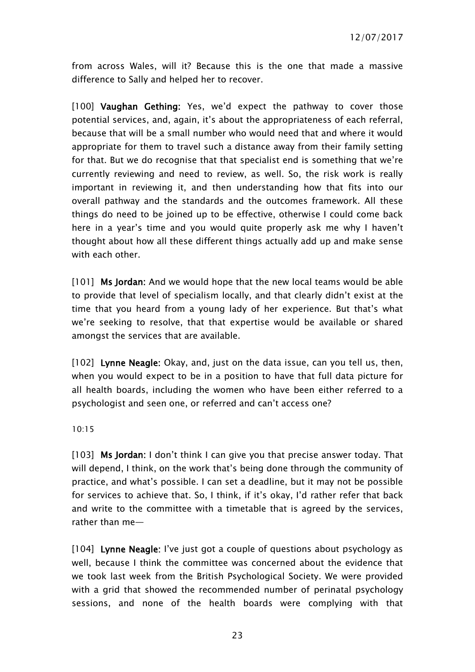from across Wales, will it? Because this is the one that made a massive difference to Sally and helped her to recover.

[100] Vaughan Gething: Yes, we'd expect the pathway to cover those potential services, and, again, it's about the appropriateness of each referral, because that will be a small number who would need that and where it would appropriate for them to travel such a distance away from their family setting for that. But we do recognise that that specialist end is something that we're currently reviewing and need to review, as well. So, the risk work is really important in reviewing it, and then understanding how that fits into our overall pathway and the standards and the outcomes framework. All these things do need to be joined up to be effective, otherwise I could come back here in a year's time and you would quite properly ask me why I haven't thought about how all these different things actually add up and make sense with each other.

[101] Ms Jordan: And we would hope that the new local teams would be able to provide that level of specialism locally, and that clearly didn't exist at the time that you heard from a young lady of her experience. But that's what we're seeking to resolve, that that expertise would be available or shared amongst the services that are available.

[102] Lynne Neagle: Okay, and, just on the data issue, can you tell us, then, when you would expect to be in a position to have that full data picture for all health boards, including the women who have been either referred to a psychologist and seen one, or referred and can't access one?

10:15

[103] Ms Jordan: I don't think I can give you that precise answer today. That will depend, I think, on the work that's being done through the community of practice, and what's possible. I can set a deadline, but it may not be possible for services to achieve that. So, I think, if it's okay, I'd rather refer that back and write to the committee with a timetable that is agreed by the services, rather than me—

[104] Lynne Neagle: I've just got a couple of questions about psychology as well, because I think the committee was concerned about the evidence that we took last week from the British Psychological Society. We were provided with a grid that showed the recommended number of perinatal psychology sessions, and none of the health boards were complying with that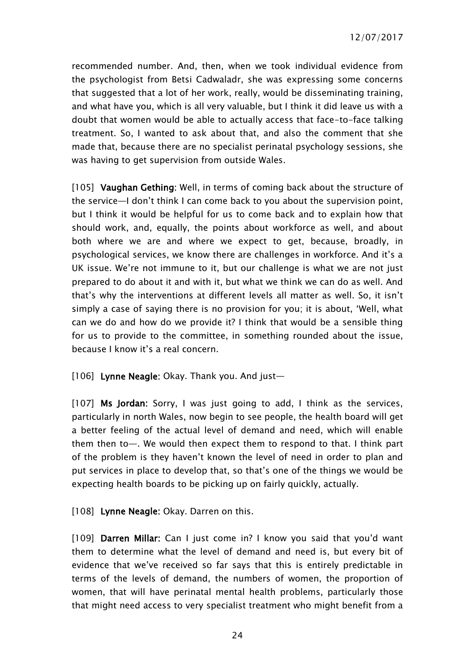recommended number. And, then, when we took individual evidence from the psychologist from Betsi Cadwaladr, she was expressing some concerns that suggested that a lot of her work, really, would be disseminating training, and what have you, which is all very valuable, but I think it did leave us with a doubt that women would be able to actually access that face-to-face talking treatment. So, I wanted to ask about that, and also the comment that she made that, because there are no specialist perinatal psychology sessions, she was having to get supervision from outside Wales.

[105] Vaughan Gething: Well, in terms of coming back about the structure of the service—I don't think I can come back to you about the supervision point, but I think it would be helpful for us to come back and to explain how that should work, and, equally, the points about workforce as well, and about both where we are and where we expect to get, because, broadly, in psychological services, we know there are challenges in workforce. And it's a UK issue. We're not immune to it, but our challenge is what we are not just prepared to do about it and with it, but what we think we can do as well. And that's why the interventions at different levels all matter as well. So, it isn't simply a case of saying there is no provision for you; it is about, 'Well, what can we do and how do we provide it? I think that would be a sensible thing for us to provide to the committee, in something rounded about the issue, because I know it's a real concern.

#### [106] Lynne Neagle: Okay. Thank you. And just—

[107] Ms Jordan: Sorry, I was just going to add, I think as the services, particularly in north Wales, now begin to see people, the health board will get a better feeling of the actual level of demand and need, which will enable them then to—. We would then expect them to respond to that. I think part of the problem is they haven't known the level of need in order to plan and put services in place to develop that, so that's one of the things we would be expecting health boards to be picking up on fairly quickly, actually.

[108] Lynne Neagle: Okay. Darren on this.

[109] Darren Millar: Can I just come in? I know you said that you'd want them to determine what the level of demand and need is, but every bit of evidence that we've received so far says that this is entirely predictable in terms of the levels of demand, the numbers of women, the proportion of women, that will have perinatal mental health problems, particularly those that might need access to very specialist treatment who might benefit from a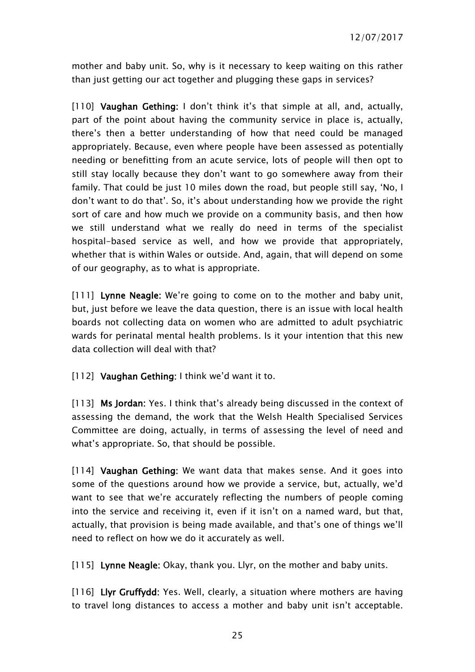mother and baby unit. So, why is it necessary to keep waiting on this rather than just getting our act together and plugging these gaps in services?

[110] Vaughan Gething: I don't think it's that simple at all, and, actually, part of the point about having the community service in place is, actually, there's then a better understanding of how that need could be managed appropriately. Because, even where people have been assessed as potentially needing or benefitting from an acute service, lots of people will then opt to still stay locally because they don't want to go somewhere away from their family. That could be just 10 miles down the road, but people still say, 'No, I don't want to do that'. So, it's about understanding how we provide the right sort of care and how much we provide on a community basis, and then how we still understand what we really do need in terms of the specialist hospital-based service as well, and how we provide that appropriately, whether that is within Wales or outside. And, again, that will depend on some of our geography, as to what is appropriate.

[111] Lynne Neagle: We're going to come on to the mother and baby unit, but, just before we leave the data question, there is an issue with local health boards not collecting data on women who are admitted to adult psychiatric wards for perinatal mental health problems. Is it your intention that this new data collection will deal with that?

[112] Vaughan Gething: I think we'd want it to.

[113] Ms Jordan: Yes. I think that's already being discussed in the context of assessing the demand, the work that the Welsh Health Specialised Services Committee are doing, actually, in terms of assessing the level of need and what's appropriate. So, that should be possible.

[114] Vaughan Gething: We want data that makes sense. And it goes into some of the questions around how we provide a service, but, actually, we'd want to see that we're accurately reflecting the numbers of people coming into the service and receiving it, even if it isn't on a named ward, but that, actually, that provision is being made available, and that's one of things we'll need to reflect on how we do it accurately as well.

[115] Lynne Neagle: Okay, thank you. Llyr, on the mother and baby units.

[116] Llyr Gruffydd: Yes. Well, clearly, a situation where mothers are having to travel long distances to access a mother and baby unit isn't acceptable.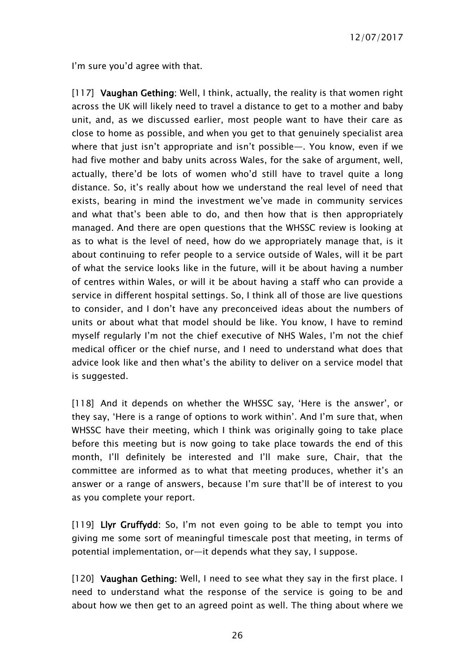I'm sure you'd agree with that.

[117] Vaughan Gething: Well, I think, actually, the reality is that women right across the UK will likely need to travel a distance to get to a mother and baby unit, and, as we discussed earlier, most people want to have their care as close to home as possible, and when you get to that genuinely specialist area where that just isn't appropriate and isn't possible—. You know, even if we had five mother and baby units across Wales, for the sake of argument, well, actually, there'd be lots of women who'd still have to travel quite a long distance. So, it's really about how we understand the real level of need that exists, bearing in mind the investment we've made in community services and what that's been able to do, and then how that is then appropriately managed. And there are open questions that the WHSSC review is looking at as to what is the level of need, how do we appropriately manage that, is it about continuing to refer people to a service outside of Wales, will it be part of what the service looks like in the future, will it be about having a number of centres within Wales, or will it be about having a staff who can provide a service in different hospital settings. So, I think all of those are live questions to consider, and I don't have any preconceived ideas about the numbers of units or about what that model should be like. You know, I have to remind myself regularly I'm not the chief executive of NHS Wales, I'm not the chief medical officer or the chief nurse, and I need to understand what does that advice look like and then what's the ability to deliver on a service model that is suggested.

[118] And it depends on whether the WHSSC say, 'Here is the answer', or they say, 'Here is a range of options to work within'. And I'm sure that, when WHSSC have their meeting, which I think was originally going to take place before this meeting but is now going to take place towards the end of this month, I'll definitely be interested and I'll make sure, Chair, that the committee are informed as to what that meeting produces, whether it's an answer or a range of answers, because I'm sure that'll be of interest to you as you complete your report.

[119] Llyr Gruffydd: So, I'm not even going to be able to tempt you into giving me some sort of meaningful timescale post that meeting, in terms of potential implementation, or—it depends what they say, I suppose.

[120] Vaughan Gething: Well, I need to see what they say in the first place. I need to understand what the response of the service is going to be and about how we then get to an agreed point as well. The thing about where we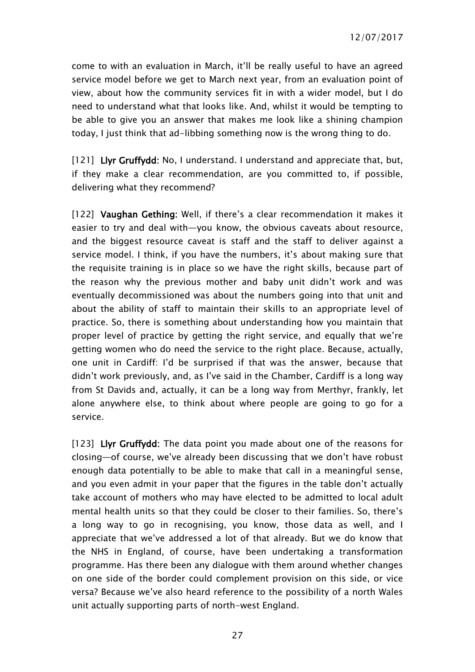come to with an evaluation in March, it'll be really useful to have an agreed service model before we get to March next year, from an evaluation point of view, about how the community services fit in with a wider model, but I do need to understand what that looks like. And, whilst it would be tempting to be able to give you an answer that makes me look like a shining champion today, I just think that ad-libbing something now is the wrong thing to do.

[121] Llyr Gruffydd: No, I understand. I understand and appreciate that, but, if they make a clear recommendation, are you committed to, if possible, delivering what they recommend?

[122] Vaughan Gething: Well, if there's a clear recommendation it makes it easier to try and deal with—you know, the obvious caveats about resource, and the biggest resource caveat is staff and the staff to deliver against a service model. I think, if you have the numbers, it's about making sure that the requisite training is in place so we have the right skills, because part of the reason why the previous mother and baby unit didn't work and was eventually decommissioned was about the numbers going into that unit and about the ability of staff to maintain their skills to an appropriate level of practice. So, there is something about understanding how you maintain that proper level of practice by getting the right service, and equally that we're getting women who do need the service to the right place. Because, actually, one unit in Cardiff: I'd be surprised if that was the answer, because that didn't work previously, and, as I've said in the Chamber, Cardiff is a long way from St Davids and, actually, it can be a long way from Merthyr, frankly, let alone anywhere else, to think about where people are going to go for a service.

[123] Llyr Gruffydd: The data point you made about one of the reasons for closing—of course, we've already been discussing that we don't have robust enough data potentially to be able to make that call in a meaningful sense, and you even admit in your paper that the figures in the table don't actually take account of mothers who may have elected to be admitted to local adult mental health units so that they could be closer to their families. So, there's a long way to go in recognising, you know, those data as well, and I appreciate that we've addressed a lot of that already. But we do know that the NHS in England, of course, have been undertaking a transformation programme. Has there been any dialogue with them around whether changes on one side of the border could complement provision on this side, or vice versa? Because we've also heard reference to the possibility of a north Wales unit actually supporting parts of north-west England.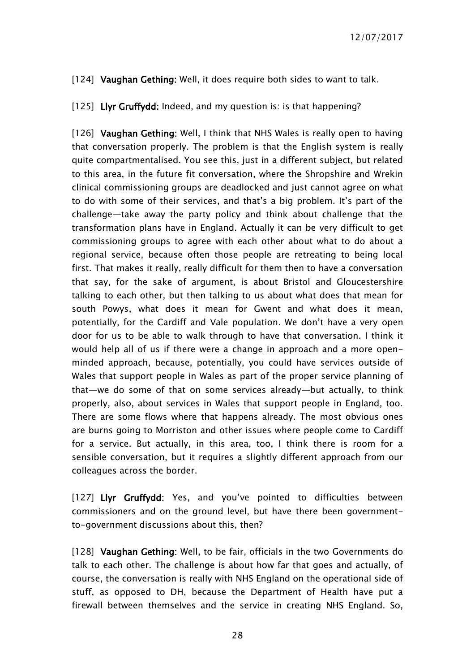[124] Vaughan Gething: Well, it does require both sides to want to talk.

[125] Llyr Gruffydd: Indeed, and my question is: is that happening?

[126] Vaughan Gething: Well, I think that NHS Wales is really open to having that conversation properly. The problem is that the English system is really quite compartmentalised. You see this, just in a different subject, but related to this area, in the future fit conversation, where the Shropshire and Wrekin clinical commissioning groups are deadlocked and just cannot agree on what to do with some of their services, and that's a big problem. It's part of the challenge—take away the party policy and think about challenge that the transformation plans have in England. Actually it can be very difficult to get commissioning groups to agree with each other about what to do about a regional service, because often those people are retreating to being local first. That makes it really, really difficult for them then to have a conversation that say, for the sake of argument, is about Bristol and Gloucestershire talking to each other, but then talking to us about what does that mean for south Powys, what does it mean for Gwent and what does it mean, potentially, for the Cardiff and Vale population. We don't have a very open door for us to be able to walk through to have that conversation. I think it would help all of us if there were a change in approach and a more openminded approach, because, potentially, you could have services outside of Wales that support people in Wales as part of the proper service planning of that—we do some of that on some services already—but actually, to think properly, also, about services in Wales that support people in England, too. There are some flows where that happens already. The most obvious ones are burns going to Morriston and other issues where people come to Cardiff for a service. But actually, in this area, too, I think there is room for a sensible conversation, but it requires a slightly different approach from our colleagues across the border.

[127] Llyr Gruffydd: Yes, and you've pointed to difficulties between commissioners and on the ground level, but have there been governmentto-government discussions about this, then?

[128] Vaughan Gething: Well, to be fair, officials in the two Governments do talk to each other. The challenge is about how far that goes and actually, of course, the conversation is really with NHS England on the operational side of stuff, as opposed to DH, because the Department of Health have put a firewall between themselves and the service in creating NHS England. So,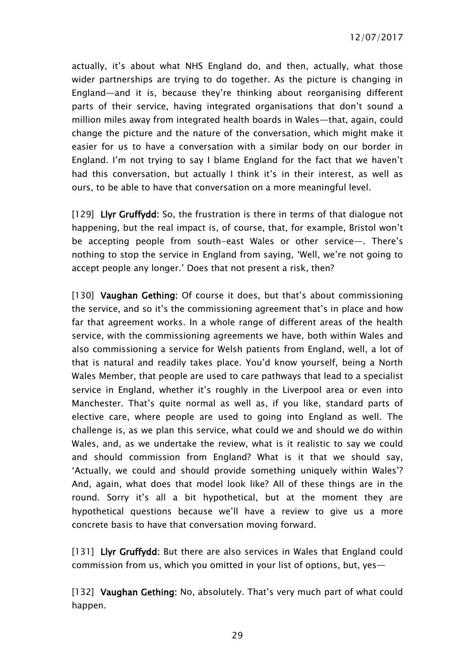actually, it's about what NHS England do, and then, actually, what those wider partnerships are trying to do together. As the picture is changing in England—and it is, because they're thinking about reorganising different parts of their service, having integrated organisations that don't sound a million miles away from integrated health boards in Wales—that, again, could change the picture and the nature of the conversation, which might make it easier for us to have a conversation with a similar body on our border in England. I'm not trying to say I blame England for the fact that we haven't had this conversation, but actually I think it's in their interest, as well as ours, to be able to have that conversation on a more meaningful level.

[129] Livr Gruffydd: So, the frustration is there in terms of that dialogue not happening, but the real impact is, of course, that, for example, Bristol won't be accepting people from south-east Wales or other service—. There's nothing to stop the service in England from saying, 'Well, we're not going to accept people any longer.' Does that not present a risk, then?

[130] Vaughan Gething: Of course it does, but that's about commissioning the service, and so it's the commissioning agreement that's in place and how far that agreement works. In a whole range of different areas of the health service, with the commissioning agreements we have, both within Wales and also commissioning a service for Welsh patients from England, well, a lot of that is natural and readily takes place. You'd know yourself, being a North Wales Member, that people are used to care pathways that lead to a specialist service in England, whether it's roughly in the Liverpool area or even into Manchester. That's quite normal as well as, if you like, standard parts of elective care, where people are used to going into England as well. The challenge is, as we plan this service, what could we and should we do within Wales, and, as we undertake the review, what is it realistic to say we could and should commission from England? What is it that we should say, 'Actually, we could and should provide something uniquely within Wales'? And, again, what does that model look like? All of these things are in the round. Sorry it's all a bit hypothetical, but at the moment they are hypothetical questions because we'll have a review to give us a more concrete basis to have that conversation moving forward.

[131] Llyr Gruffydd: But there are also services in Wales that England could commission from us, which you omitted in your list of options, but, yes—

[132] Vaughan Gething: No, absolutely. That's very much part of what could happen.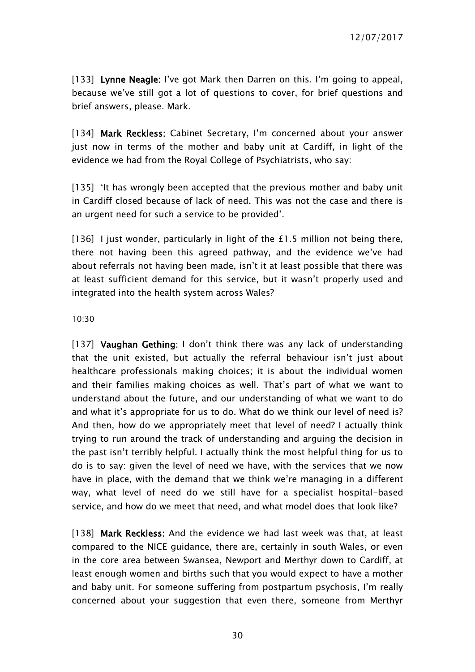[133] Lynne Neagle: I've got Mark then Darren on this. I'm going to appeal, because we've still got a lot of questions to cover, for brief questions and brief answers, please. Mark.

[134] Mark Reckless: Cabinet Secretary, I'm concerned about your answer just now in terms of the mother and baby unit at Cardiff, in light of the evidence we had from the Royal College of Psychiatrists, who say:

[135] 'It has wrongly been accepted that the previous mother and baby unit in Cardiff closed because of lack of need. This was not the case and there is an urgent need for such a service to be provided'.

[136] I just wonder, particularly in light of the £1.5 million not being there, there not having been this agreed pathway, and the evidence we've had about referrals not having been made, isn't it at least possible that there was at least sufficient demand for this service, but it wasn't properly used and integrated into the health system across Wales?

#### 10:30

[137] Vaughan Gething: I don't think there was any lack of understanding that the unit existed, but actually the referral behaviour isn't just about healthcare professionals making choices; it is about the individual women and their families making choices as well. That's part of what we want to understand about the future, and our understanding of what we want to do and what it's appropriate for us to do. What do we think our level of need is? And then, how do we appropriately meet that level of need? I actually think trying to run around the track of understanding and arguing the decision in the past isn't terribly helpful. I actually think the most helpful thing for us to do is to say: given the level of need we have, with the services that we now have in place, with the demand that we think we're managing in a different way, what level of need do we still have for a specialist hospital-based service, and how do we meet that need, and what model does that look like?

[138] Mark Reckless: And the evidence we had last week was that, at least compared to the NICE guidance, there are, certainly in south Wales, or even in the core area between Swansea, Newport and Merthyr down to Cardiff, at least enough women and births such that you would expect to have a mother and baby unit. For someone suffering from postpartum psychosis, I'm really concerned about your suggestion that even there, someone from Merthyr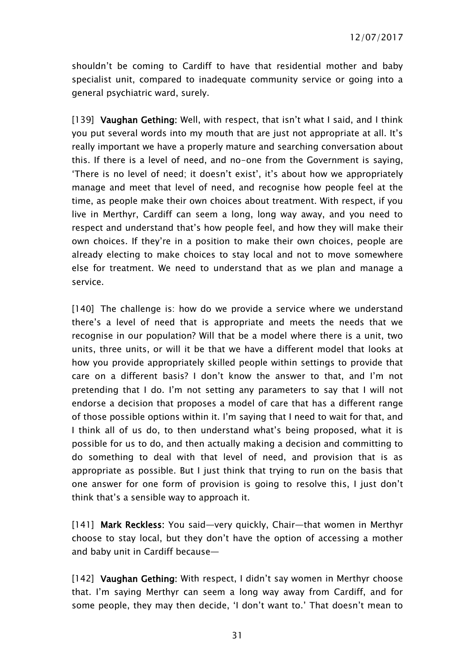shouldn't be coming to Cardiff to have that residential mother and baby specialist unit, compared to inadequate community service or going into a general psychiatric ward, surely.

[139] Vaughan Gething: Well, with respect, that isn't what I said, and I think you put several words into my mouth that are just not appropriate at all. It's really important we have a properly mature and searching conversation about this. If there is a level of need, and no-one from the Government is saying, 'There is no level of need; it doesn't exist', it's about how we appropriately manage and meet that level of need, and recognise how people feel at the time, as people make their own choices about treatment. With respect, if you live in Merthyr, Cardiff can seem a long, long way away, and you need to respect and understand that's how people feel, and how they will make their own choices. If they're in a position to make their own choices, people are already electing to make choices to stay local and not to move somewhere else for treatment. We need to understand that as we plan and manage a service.

[140] The challenge is: how do we provide a service where we understand there's a level of need that is appropriate and meets the needs that we recognise in our population? Will that be a model where there is a unit, two units, three units, or will it be that we have a different model that looks at how you provide appropriately skilled people within settings to provide that care on a different basis? I don't know the answer to that, and I'm not pretending that I do. I'm not setting any parameters to say that I will not endorse a decision that proposes a model of care that has a different range of those possible options within it. I'm saying that I need to wait for that, and I think all of us do, to then understand what's being proposed, what it is possible for us to do, and then actually making a decision and committing to do something to deal with that level of need, and provision that is as appropriate as possible. But I just think that trying to run on the basis that one answer for one form of provision is going to resolve this, I just don't think that's a sensible way to approach it.

[141] Mark Reckless: You said-very quickly, Chair-that women in Merthyr choose to stay local, but they don't have the option of accessing a mother and baby unit in Cardiff because—

[142] Vaughan Gething: With respect, I didn't say women in Merthyr choose that. I'm saying Merthyr can seem a long way away from Cardiff, and for some people, they may then decide, 'I don't want to.' That doesn't mean to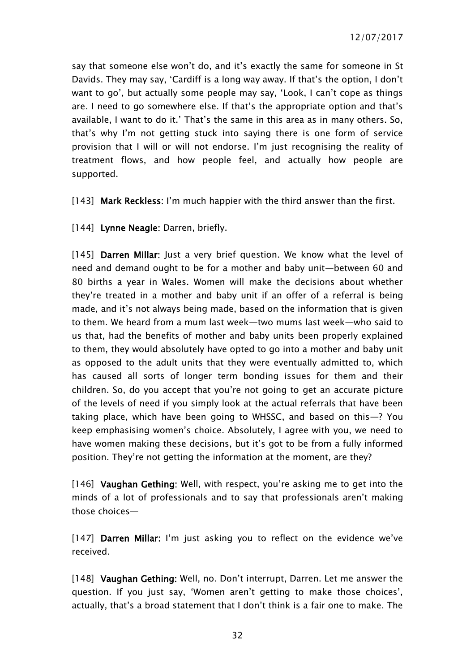say that someone else won't do, and it's exactly the same for someone in St Davids. They may say, 'Cardiff is a long way away. If that's the option, I don't want to go', but actually some people may say, 'Look, I can't cope as things are. I need to go somewhere else. If that's the appropriate option and that's available, I want to do it.' That's the same in this area as in many others. So, that's why I'm not getting stuck into saying there is one form of service provision that I will or will not endorse. I'm just recognising the reality of treatment flows, and how people feel, and actually how people are supported.

[143] Mark Reckless: I'm much happier with the third answer than the first.

[144] Lynne Neagle: Darren, briefly.

[145] Darren Millar: Just a very brief question. We know what the level of need and demand ought to be for a mother and baby unit—between 60 and 80 births a year in Wales. Women will make the decisions about whether they're treated in a mother and baby unit if an offer of a referral is being made, and it's not always being made, based on the information that is given to them. We heard from a mum last week—two mums last week—who said to us that, had the benefits of mother and baby units been properly explained to them, they would absolutely have opted to go into a mother and baby unit as opposed to the adult units that they were eventually admitted to, which has caused all sorts of longer term bonding issues for them and their children. So, do you accept that you're not going to get an accurate picture of the levels of need if you simply look at the actual referrals that have been taking place, which have been going to WHSSC, and based on this—? You keep emphasising women's choice. Absolutely, I agree with you, we need to have women making these decisions, but it's got to be from a fully informed position. They're not getting the information at the moment, are they?

[146] Vaughan Gething: Well, with respect, you're asking me to get into the minds of a lot of professionals and to say that professionals aren't making those choices—

[147] Darren Millar: I'm just asking you to reflect on the evidence we've received.

[148] Vaughan Gething: Well, no. Don't interrupt, Darren. Let me answer the question. If you just say, 'Women aren't getting to make those choices', actually, that's a broad statement that I don't think is a fair one to make. The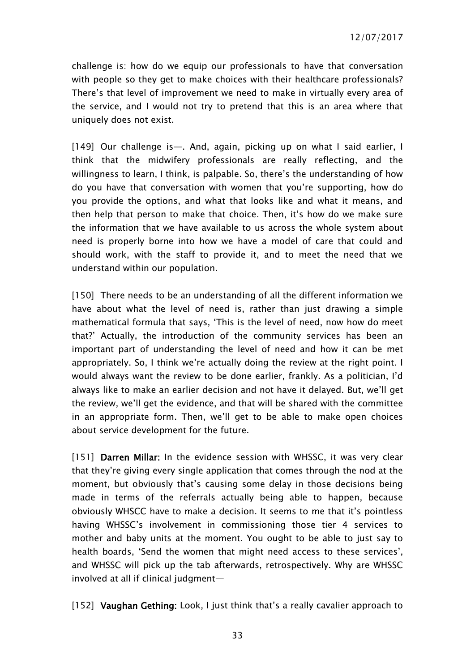challenge is: how do we equip our professionals to have that conversation with people so they get to make choices with their healthcare professionals? There's that level of improvement we need to make in virtually every area of the service, and I would not try to pretend that this is an area where that uniquely does not exist.

[149] Our challenge is—. And, again, picking up on what I said earlier, I think that the midwifery professionals are really reflecting, and the willingness to learn, I think, is palpable. So, there's the understanding of how do you have that conversation with women that you're supporting, how do you provide the options, and what that looks like and what it means, and then help that person to make that choice. Then, it's how do we make sure the information that we have available to us across the whole system about need is properly borne into how we have a model of care that could and should work, with the staff to provide it, and to meet the need that we understand within our population.

[150] There needs to be an understanding of all the different information we have about what the level of need is, rather than just drawing a simple mathematical formula that says, 'This is the level of need, now how do meet that?' Actually, the introduction of the community services has been an important part of understanding the level of need and how it can be met appropriately. So, I think we're actually doing the review at the right point. I would always want the review to be done earlier, frankly. As a politician, I'd always like to make an earlier decision and not have it delayed. But, we'll get the review, we'll get the evidence, and that will be shared with the committee in an appropriate form. Then, we'll get to be able to make open choices about service development for the future.

[151] Darren Millar: In the evidence session with WHSSC, it was very clear that they're giving every single application that comes through the nod at the moment, but obviously that's causing some delay in those decisions being made in terms of the referrals actually being able to happen, because obviously WHSCC have to make a decision. It seems to me that it's pointless having WHSSC's involvement in commissioning those tier 4 services to mother and baby units at the moment. You ought to be able to just say to health boards, 'Send the women that might need access to these services', and WHSSC will pick up the tab afterwards, retrospectively. Why are WHSSC involved at all if clinical judgment—

[152] Vaughan Gething: Look, I just think that's a really cavalier approach to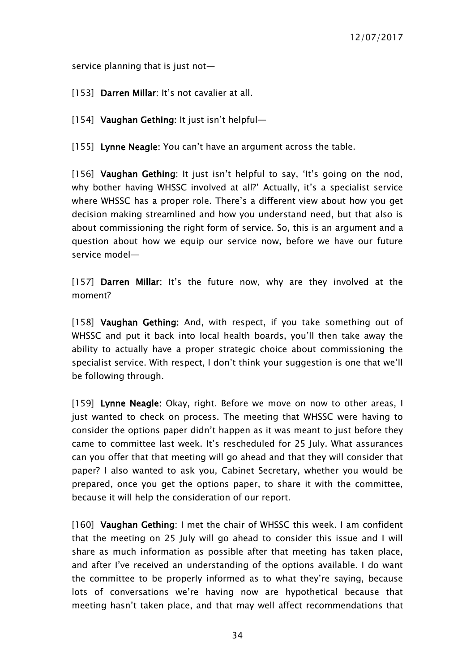service planning that is just not-

[153] Darren Millar: It's not cavalier at all.

[154] Vaughan Gething: It just isn't helpful-

[155] Lynne Neagle: You can't have an argument across the table.

[156] Vaughan Gething: It just isn't helpful to say, 'It's going on the nod, why bother having WHSSC involved at all?' Actually, it's a specialist service where WHSSC has a proper role. There's a different view about how you get decision making streamlined and how you understand need, but that also is about commissioning the right form of service. So, this is an argument and a question about how we equip our service now, before we have our future service model—

[157] Darren Millar: It's the future now, why are they involved at the moment?

[158] Vaughan Gething: And, with respect, if you take something out of WHSSC and put it back into local health boards, you'll then take away the ability to actually have a proper strategic choice about commissioning the specialist service. With respect, I don't think your suggestion is one that we'll be following through.

[159] Lynne Neagle: Okay, right. Before we move on now to other areas, I just wanted to check on process. The meeting that WHSSC were having to consider the options paper didn't happen as it was meant to just before they came to committee last week. It's rescheduled for 25 July. What assurances can you offer that that meeting will go ahead and that they will consider that paper? I also wanted to ask you, Cabinet Secretary, whether you would be prepared, once you get the options paper, to share it with the committee, because it will help the consideration of our report.

[160] Vaughan Gething: I met the chair of WHSSC this week. I am confident that the meeting on 25 July will go ahead to consider this issue and I will share as much information as possible after that meeting has taken place, and after I've received an understanding of the options available. I do want the committee to be properly informed as to what they're saying, because lots of conversations we're having now are hypothetical because that meeting hasn't taken place, and that may well affect recommendations that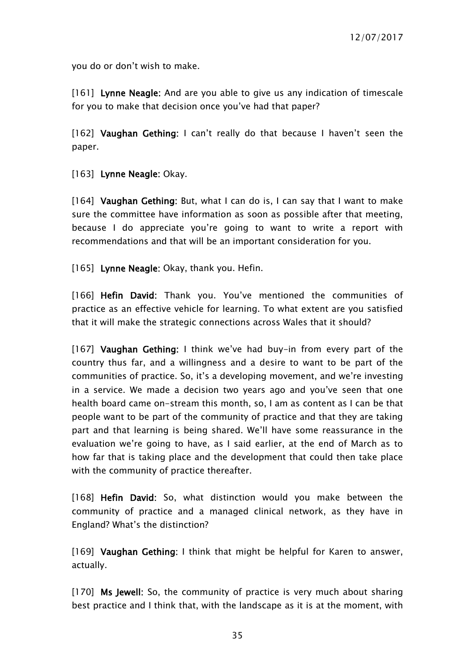you do or don't wish to make.

[161] Lynne Neagle: And are you able to give us any indication of timescale for you to make that decision once you've had that paper?

[162] Vaughan Gething: I can't really do that because I haven't seen the paper.

[163] Lynne Neagle: Okay.

[164] Vaughan Gething: But, what I can do is, I can say that I want to make sure the committee have information as soon as possible after that meeting, because I do appreciate you're going to want to write a report with recommendations and that will be an important consideration for you.

[165] Lynne Neagle: Okay, thank you. Hefin.

[166] Hefin David: Thank you. You've mentioned the communities of practice as an effective vehicle for learning. To what extent are you satisfied that it will make the strategic connections across Wales that it should?

[167] Vaughan Gething: I think we've had buy-in from every part of the country thus far, and a willingness and a desire to want to be part of the communities of practice. So, it's a developing movement, and we're investing in a service. We made a decision two years ago and you've seen that one health board came on-stream this month, so, I am as content as I can be that people want to be part of the community of practice and that they are taking part and that learning is being shared. We'll have some reassurance in the evaluation we're going to have, as I said earlier, at the end of March as to how far that is taking place and the development that could then take place with the community of practice thereafter.

[168] Hefin David: So, what distinction would you make between the community of practice and a managed clinical network, as they have in England? What's the distinction?

[169] Vaughan Gething: I think that might be helpful for Karen to answer, actually.

[170] Ms Jewell: So, the community of practice is very much about sharing best practice and I think that, with the landscape as it is at the moment, with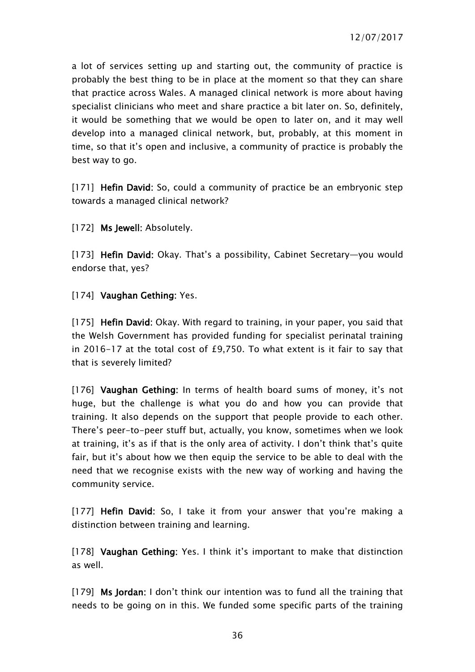a lot of services setting up and starting out, the community of practice is probably the best thing to be in place at the moment so that they can share that practice across Wales. A managed clinical network is more about having specialist clinicians who meet and share practice a bit later on. So, definitely, it would be something that we would be open to later on, and it may well develop into a managed clinical network, but, probably, at this moment in time, so that it's open and inclusive, a community of practice is probably the best way to go.

[171] Hefin David: So, could a community of practice be an embryonic step towards a managed clinical network?

[172] Ms Jewell: Absolutely.

[173] Hefin David: Okay. That's a possibility, Cabinet Secretary-you would endorse that, yes?

[174] Vaughan Gething: Yes.

[175] Hefin David: Okay. With regard to training, in your paper, you said that the Welsh Government has provided funding for specialist perinatal training in 2016-17 at the total cost of £9,750. To what extent is it fair to say that that is severely limited?

[176] Vaughan Gething: In terms of health board sums of money, it's not huge, but the challenge is what you do and how you can provide that training. It also depends on the support that people provide to each other. There's peer-to-peer stuff but, actually, you know, sometimes when we look at training, it's as if that is the only area of activity. I don't think that's quite fair, but it's about how we then equip the service to be able to deal with the need that we recognise exists with the new way of working and having the community service.

[177] Hefin David: So, I take it from your answer that you're making a distinction between training and learning.

[178] Vaughan Gething: Yes. I think it's important to make that distinction as well.

[179] Ms Jordan: I don't think our intention was to fund all the training that needs to be going on in this. We funded some specific parts of the training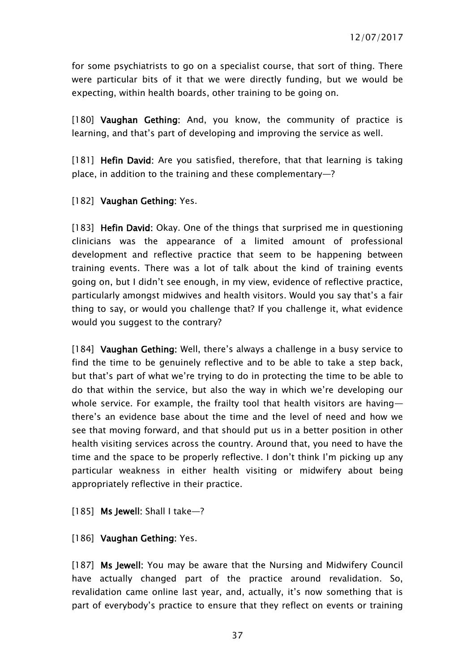for some psychiatrists to go on a specialist course, that sort of thing. There were particular bits of it that we were directly funding, but we would be expecting, within health boards, other training to be going on.

[180] Vaughan Gething: And, you know, the community of practice is learning, and that's part of developing and improving the service as well.

[181] Hefin David: Are you satisfied, therefore, that that learning is taking place, in addition to the training and these complementary—?

#### [182] Vaughan Gething: Yes.

[183] Hefin David: Okay. One of the things that surprised me in questioning clinicians was the appearance of a limited amount of professional development and reflective practice that seem to be happening between training events. There was a lot of talk about the kind of training events going on, but I didn't see enough, in my view, evidence of reflective practice, particularly amongst midwives and health visitors. Would you say that's a fair thing to say, or would you challenge that? If you challenge it, what evidence would you suggest to the contrary?

[184] Vaughan Gething: Well, there's always a challenge in a busy service to find the time to be genuinely reflective and to be able to take a step back, but that's part of what we're trying to do in protecting the time to be able to do that within the service, but also the way in which we're developing our whole service. For example, the frailty tool that health visitors are having there's an evidence base about the time and the level of need and how we see that moving forward, and that should put us in a better position in other health visiting services across the country. Around that, you need to have the time and the space to be properly reflective. I don't think I'm picking up any particular weakness in either health visiting or midwifery about being appropriately reflective in their practice.

#### [185] Ms Jewell: Shall I take—?

#### [186] Vaughan Gething: Yes.

[187] Ms Jewell: You may be aware that the Nursing and Midwifery Council have actually changed part of the practice around revalidation. So, revalidation came online last year, and, actually, it's now something that is part of everybody's practice to ensure that they reflect on events or training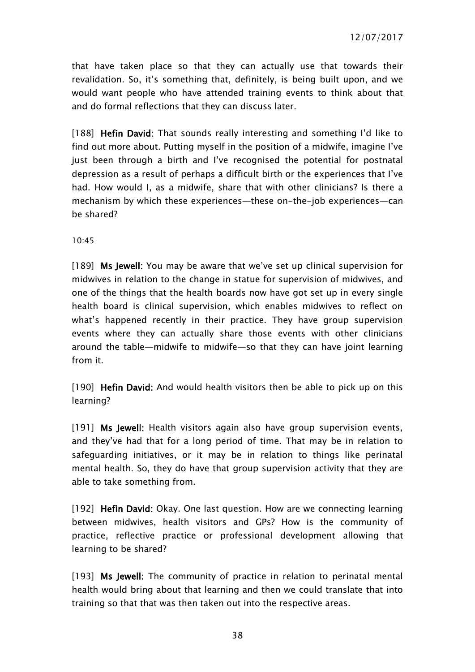that have taken place so that they can actually use that towards their revalidation. So, it's something that, definitely, is being built upon, and we would want people who have attended training events to think about that and do formal reflections that they can discuss later.

[188] Hefin David: That sounds really interesting and something I'd like to find out more about. Putting myself in the position of a midwife, imagine I've just been through a birth and I've recognised the potential for postnatal depression as a result of perhaps a difficult birth or the experiences that I've had. How would I, as a midwife, share that with other clinicians? Is there a mechanism by which these experiences—these on-the-job experiences—can be shared?

10:45

[189] Ms Jewell: You may be aware that we've set up clinical supervision for midwives in relation to the change in statue for supervision of midwives, and one of the things that the health boards now have got set up in every single health board is clinical supervision, which enables midwives to reflect on what's happened recently in their practice. They have group supervision events where they can actually share those events with other clinicians around the table—midwife to midwife—so that they can have joint learning from it.

[190] Hefin David: And would health visitors then be able to pick up on this learning?

[191] Ms Jewell: Health visitors again also have group supervision events, and they've had that for a long period of time. That may be in relation to safeguarding initiatives, or it may be in relation to things like perinatal mental health. So, they do have that group supervision activity that they are able to take something from.

[192] Hefin David: Okay. One last question. How are we connecting learning between midwives, health visitors and GPs? How is the community of practice, reflective practice or professional development allowing that learning to be shared?

[193] Ms Jewell: The community of practice in relation to perinatal mental health would bring about that learning and then we could translate that into training so that that was then taken out into the respective areas.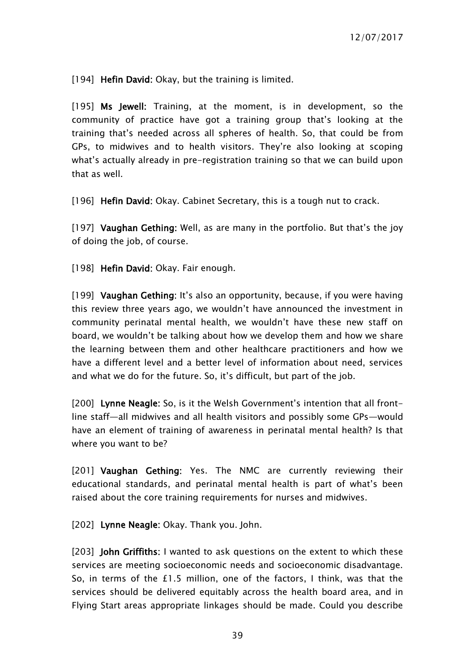[194] Hefin David: Okay, but the training is limited.

[195] Ms Jewell: Training, at the moment, is in development, so the community of practice have got a training group that's looking at the training that's needed across all spheres of health. So, that could be from GPs, to midwives and to health visitors. They're also looking at scoping what's actually already in pre-registration training so that we can build upon that as well.

[196] Hefin David: Okay. Cabinet Secretary, this is a tough nut to crack.

[197] Vaughan Gething: Well, as are many in the portfolio. But that's the joy of doing the job, of course.

[198] Hefin David: Okay. Fair enough.

[199] Vaughan Gething: It's also an opportunity, because, if you were having this review three years ago, we wouldn't have announced the investment in community perinatal mental health, we wouldn't have these new staff on board, we wouldn't be talking about how we develop them and how we share the learning between them and other healthcare practitioners and how we have a different level and a better level of information about need, services and what we do for the future. So, it's difficult, but part of the job.

[200] Lynne Neagle: So, is it the Welsh Government's intention that all frontline staff—all midwives and all health visitors and possibly some GPs—would have an element of training of awareness in perinatal mental health? Is that where you want to be?

[201] Vaughan Gething: Yes. The NMC are currently reviewing their educational standards, and perinatal mental health is part of what's been raised about the core training requirements for nurses and midwives.

[202] Lynne Neagle: Okay. Thank you. John.

[203] **John Griffiths:** I wanted to ask questions on the extent to which these services are meeting socioeconomic needs and socioeconomic disadvantage. So, in terms of the £1.5 million, one of the factors, I think, was that the services should be delivered equitably across the health board area, and in Flying Start areas appropriate linkages should be made. Could you describe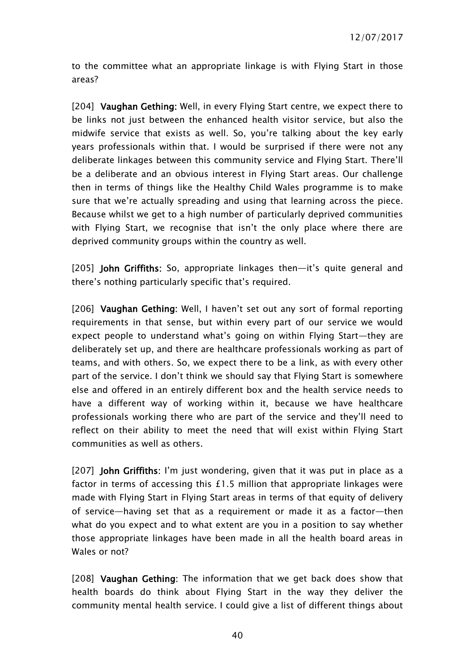to the committee what an appropriate linkage is with Flying Start in those areas?

[204] Vaughan Gething: Well, in every Flying Start centre, we expect there to be links not just between the enhanced health visitor service, but also the midwife service that exists as well. So, you're talking about the key early years professionals within that. I would be surprised if there were not any deliberate linkages between this community service and Flying Start. There'll be a deliberate and an obvious interest in Flying Start areas. Our challenge then in terms of things like the Healthy Child Wales programme is to make sure that we're actually spreading and using that learning across the piece. Because whilst we get to a high number of particularly deprived communities with Flying Start, we recognise that isn't the only place where there are deprived community groups within the country as well.

[205] John Griffiths: So, appropriate linkages then—it's quite general and there's nothing particularly specific that's required.

[206] Vaughan Gething: Well, I haven't set out any sort of formal reporting requirements in that sense, but within every part of our service we would expect people to understand what's going on within Flying Start—they are deliberately set up, and there are healthcare professionals working as part of teams, and with others. So, we expect there to be a link, as with every other part of the service. I don't think we should say that Flying Start is somewhere else and offered in an entirely different box and the health service needs to have a different way of working within it, because we have healthcare professionals working there who are part of the service and they'll need to reflect on their ability to meet the need that will exist within Flying Start communities as well as others.

[207] John Griffiths: I'm just wondering, given that it was put in place as a factor in terms of accessing this £1.5 million that appropriate linkages were made with Flying Start in Flying Start areas in terms of that equity of delivery of service—having set that as a requirement or made it as a factor—then what do you expect and to what extent are you in a position to say whether those appropriate linkages have been made in all the health board areas in Wales or not?

[208] Vaughan Gething: The information that we get back does show that health boards do think about Flying Start in the way they deliver the community mental health service. I could give a list of different things about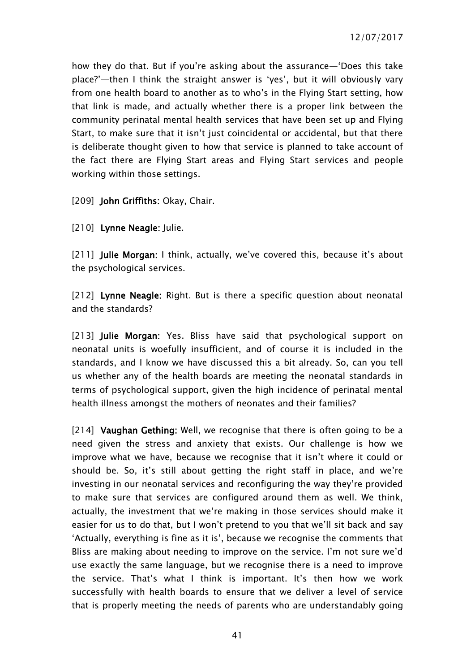how they do that. But if you're asking about the assurance—'Does this take place?'—then I think the straight answer is 'yes', but it will obviously vary from one health board to another as to who's in the Flying Start setting, how that link is made, and actually whether there is a proper link between the community perinatal mental health services that have been set up and Flying Start, to make sure that it isn't just coincidental or accidental, but that there is deliberate thought given to how that service is planned to take account of the fact there are Flying Start areas and Flying Start services and people working within those settings.

[209] John Griffiths: Okay, Chair.

[210] Lynne Neagle: Julie.

[211] Julie Morgan: I think, actually, we've covered this, because it's about the psychological services.

[212] Lynne Neagle: Right. But is there a specific question about neonatal and the standards?

[213] Julie Morgan: Yes. Bliss have said that psychological support on neonatal units is woefully insufficient, and of course it is included in the standards, and I know we have discussed this a bit already. So, can you tell us whether any of the health boards are meeting the neonatal standards in terms of psychological support, given the high incidence of perinatal mental health illness amongst the mothers of neonates and their families?

[214] Vaughan Gething: Well, we recognise that there is often going to be a need given the stress and anxiety that exists. Our challenge is how we improve what we have, because we recognise that it isn't where it could or should be. So, it's still about getting the right staff in place, and we're investing in our neonatal services and reconfiguring the way they're provided to make sure that services are configured around them as well. We think, actually, the investment that we're making in those services should make it easier for us to do that, but I won't pretend to you that we'll sit back and say 'Actually, everything is fine as it is', because we recognise the comments that Bliss are making about needing to improve on the service. I'm not sure we'd use exactly the same language, but we recognise there is a need to improve the service. That's what I think is important. It's then how we work successfully with health boards to ensure that we deliver a level of service that is properly meeting the needs of parents who are understandably going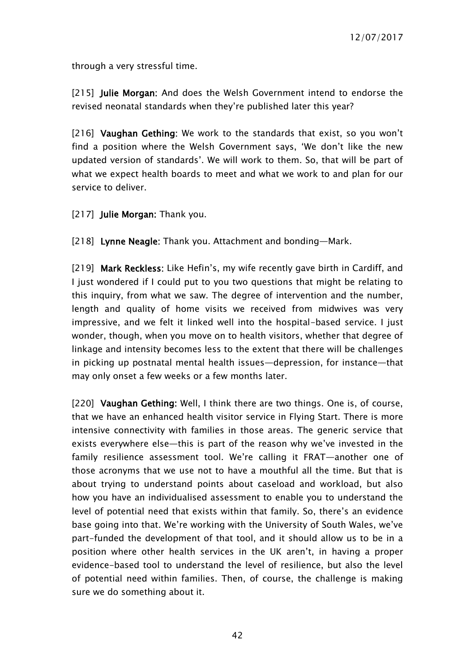through a very stressful time.

[215] **Julie Morgan:** And does the Welsh Government intend to endorse the revised neonatal standards when they're published later this year?

[216] Vaughan Gething: We work to the standards that exist, so you won't find a position where the Welsh Government says, 'We don't like the new updated version of standards'. We will work to them. So, that will be part of what we expect health boards to meet and what we work to and plan for our service to deliver.

[217] **Julie Morgan:** Thank you.

[218] Lynne Neagle: Thank you. Attachment and bonding-Mark.

[219] Mark Reckless: Like Hefin's, my wife recently gave birth in Cardiff, and I just wondered if I could put to you two questions that might be relating to this inquiry, from what we saw. The degree of intervention and the number, length and quality of home visits we received from midwives was very impressive, and we felt it linked well into the hospital-based service. I just wonder, though, when you move on to health visitors, whether that degree of linkage and intensity becomes less to the extent that there will be challenges in picking up postnatal mental health issues—depression, for instance—that may only onset a few weeks or a few months later.

[220] Vaughan Gething: Well, I think there are two things. One is, of course, that we have an enhanced health visitor service in Flying Start. There is more intensive connectivity with families in those areas. The generic service that exists everywhere else—this is part of the reason why we've invested in the family resilience assessment tool. We're calling it FRAT—another one of those acronyms that we use not to have a mouthful all the time. But that is about trying to understand points about caseload and workload, but also how you have an individualised assessment to enable you to understand the level of potential need that exists within that family. So, there's an evidence base going into that. We're working with the University of South Wales, we've part-funded the development of that tool, and it should allow us to be in a position where other health services in the UK aren't, in having a proper evidence-based tool to understand the level of resilience, but also the level of potential need within families. Then, of course, the challenge is making sure we do something about it.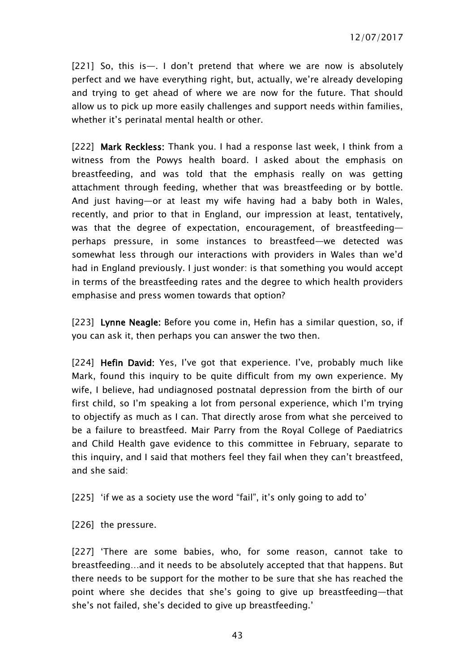[221] So, this is—. I don't pretend that where we are now is absolutely perfect and we have everything right, but, actually, we're already developing and trying to get ahead of where we are now for the future. That should allow us to pick up more easily challenges and support needs within families, whether it's perinatal mental health or other.

[222] Mark Reckless: Thank you. I had a response last week, I think from a witness from the Powys health board. I asked about the emphasis on breastfeeding, and was told that the emphasis really on was getting attachment through feeding, whether that was breastfeeding or by bottle. And just having—or at least my wife having had a baby both in Wales, recently, and prior to that in England, our impression at least, tentatively, was that the degree of expectation, encouragement, of breastfeeding perhaps pressure, in some instances to breastfeed—we detected was somewhat less through our interactions with providers in Wales than we'd had in England previously. I just wonder: is that something you would accept in terms of the breastfeeding rates and the degree to which health providers emphasise and press women towards that option?

[223] Lynne Neagle: Before you come in, Hefin has a similar question, so, if you can ask it, then perhaps you can answer the two then.

[224] Hefin David: Yes, I've got that experience. I've, probably much like Mark, found this inquiry to be quite difficult from my own experience. My wife, I believe, had undiagnosed postnatal depression from the birth of our first child, so I'm speaking a lot from personal experience, which I'm trying to objectify as much as I can. That directly arose from what she perceived to be a failure to breastfeed. Mair Parry from the Royal College of Paediatrics and Child Health gave evidence to this committee in February, separate to this inquiry, and I said that mothers feel they fail when they can't breastfeed, and she said:

[225] 'if we as a society use the word "fail", it's only going to add to'

[226] the pressure.

[227] 'There are some babies, who, for some reason, cannot take to breastfeeding…and it needs to be absolutely accepted that that happens. But there needs to be support for the mother to be sure that she has reached the point where she decides that she's going to give up breastfeeding—that she's not failed, she's decided to give up breastfeeding.'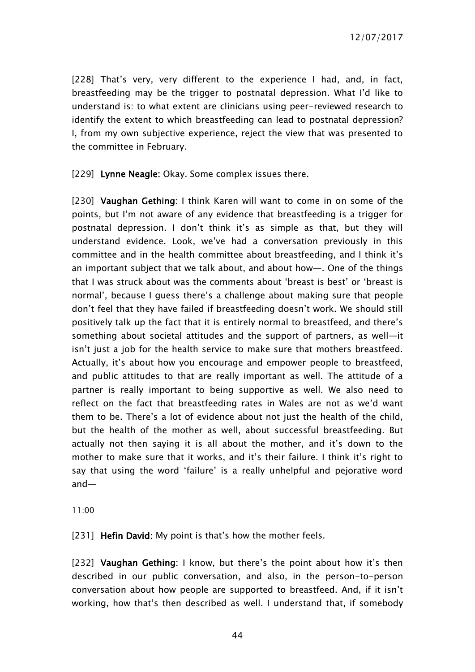[228] That's very, very different to the experience I had, and, in fact, breastfeeding may be the trigger to postnatal depression. What I'd like to understand is: to what extent are clinicians using peer-reviewed research to identify the extent to which breastfeeding can lead to postnatal depression? I, from my own subjective experience, reject the view that was presented to the committee in February.

[229] Lynne Neagle: Okay. Some complex issues there.

[230] Vaughan Gething: I think Karen will want to come in on some of the points, but I'm not aware of any evidence that breastfeeding is a trigger for postnatal depression. I don't think it's as simple as that, but they will understand evidence. Look, we've had a conversation previously in this committee and in the health committee about breastfeeding, and I think it's an important subject that we talk about, and about how—. One of the things that I was struck about was the comments about 'breast is best' or 'breast is normal', because I guess there's a challenge about making sure that people don't feel that they have failed if breastfeeding doesn't work. We should still positively talk up the fact that it is entirely normal to breastfeed, and there's something about societal attitudes and the support of partners, as well—it isn't just a job for the health service to make sure that mothers breastfeed. Actually, it's about how you encourage and empower people to breastfeed, and public attitudes to that are really important as well. The attitude of a partner is really important to being supportive as well. We also need to reflect on the fact that breastfeeding rates in Wales are not as we'd want them to be. There's a lot of evidence about not just the health of the child, but the health of the mother as well, about successful breastfeeding. But actually not then saying it is all about the mother, and it's down to the mother to make sure that it works, and it's their failure. I think it's right to say that using the word 'failure' is a really unhelpful and pejorative word and—

11:00

[231] Hefin David: My point is that's how the mother feels.

[232] Vaughan Gething: I know, but there's the point about how it's then described in our public conversation, and also, in the person-to-person conversation about how people are supported to breastfeed. And, if it isn't working, how that's then described as well. I understand that, if somebody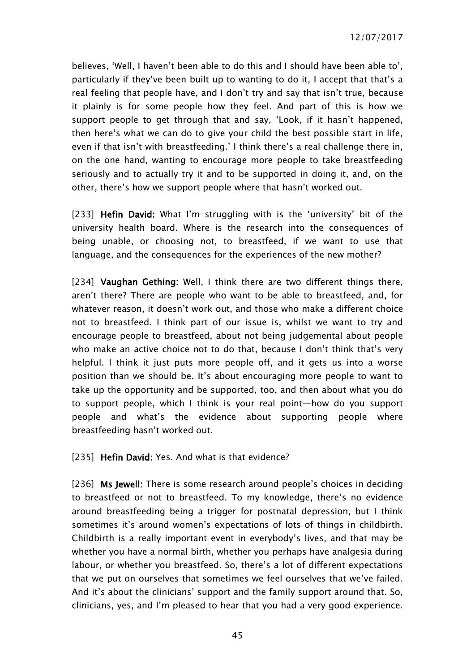believes, 'Well, I haven't been able to do this and I should have been able to', particularly if they've been built up to wanting to do it, I accept that that's a real feeling that people have, and I don't try and say that isn't true, because it plainly is for some people how they feel. And part of this is how we support people to get through that and say, 'Look, if it hasn't happened, then here's what we can do to give your child the best possible start in life, even if that isn't with breastfeeding.' I think there's a real challenge there in, on the one hand, wanting to encourage more people to take breastfeeding seriously and to actually try it and to be supported in doing it, and, on the other, there's how we support people where that hasn't worked out.

[233] Hefin David: What I'm struggling with is the 'university' bit of the university health board. Where is the research into the consequences of being unable, or choosing not, to breastfeed, if we want to use that language, and the consequences for the experiences of the new mother?

[234] Vaughan Gething: Well, I think there are two different things there, aren't there? There are people who want to be able to breastfeed, and, for whatever reason, it doesn't work out, and those who make a different choice not to breastfeed. I think part of our issue is, whilst we want to try and encourage people to breastfeed, about not being judgemental about people who make an active choice not to do that, because I don't think that's very helpful. I think it just puts more people off, and it gets us into a worse position than we should be. It's about encouraging more people to want to take up the opportunity and be supported, too, and then about what you do to support people, which I think is your real point—how do you support people and what's the evidence about supporting people where breastfeeding hasn't worked out.

[235] Hefin David: Yes. And what is that evidence?

[236] Ms Jewell: There is some research around people's choices in deciding to breastfeed or not to breastfeed. To my knowledge, there's no evidence around breastfeeding being a trigger for postnatal depression, but I think sometimes it's around women's expectations of lots of things in childbirth. Childbirth is a really important event in everybody's lives, and that may be whether you have a normal birth, whether you perhaps have analgesia during labour, or whether you breastfeed. So, there's a lot of different expectations that we put on ourselves that sometimes we feel ourselves that we've failed. And it's about the clinicians' support and the family support around that. So, clinicians, yes, and I'm pleased to hear that you had a very good experience.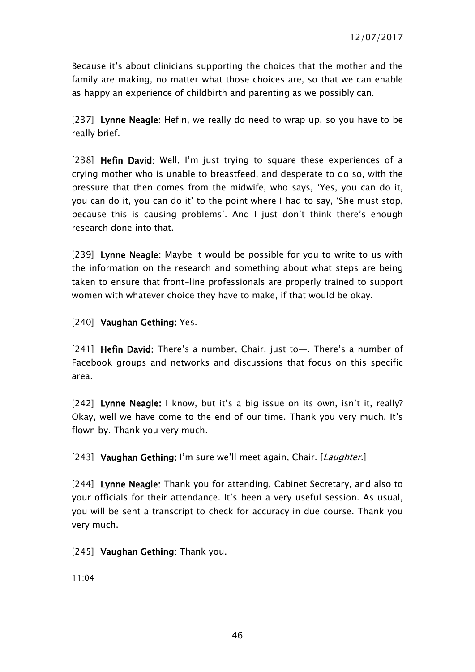Because it's about clinicians supporting the choices that the mother and the family are making, no matter what those choices are, so that we can enable as happy an experience of childbirth and parenting as we possibly can.

[237] Lynne Neagle: Hefin, we really do need to wrap up, so you have to be really brief.

[238] Hefin David: Well, I'm just trying to square these experiences of a crying mother who is unable to breastfeed, and desperate to do so, with the pressure that then comes from the midwife, who says, 'Yes, you can do it, you can do it, you can do it' to the point where I had to say, 'She must stop, because this is causing problems'. And I just don't think there's enough research done into that.

[239] Lynne Neagle: Maybe it would be possible for you to write to us with the information on the research and something about what steps are being taken to ensure that front-line professionals are properly trained to support women with whatever choice they have to make, if that would be okay.

[240] Vaughan Gething: Yes.

[241] Hefin David: There's a number, Chair, just to-. There's a number of Facebook groups and networks and discussions that focus on this specific area.

[242] Lynne Neagle: I know, but it's a big issue on its own, isn't it, really? Okay, well we have come to the end of our time. Thank you very much. It's flown by. Thank you very much.

[243] Vaughan Gething: I'm sure we'll meet again, Chair. [Laughter.]

[244] Lynne Neagle: Thank you for attending, Cabinet Secretary, and also to your officials for their attendance. It's been a very useful session. As usual, you will be sent a transcript to check for accuracy in due course. Thank you very much.

[245] Vaughan Gething: Thank you.

11:04